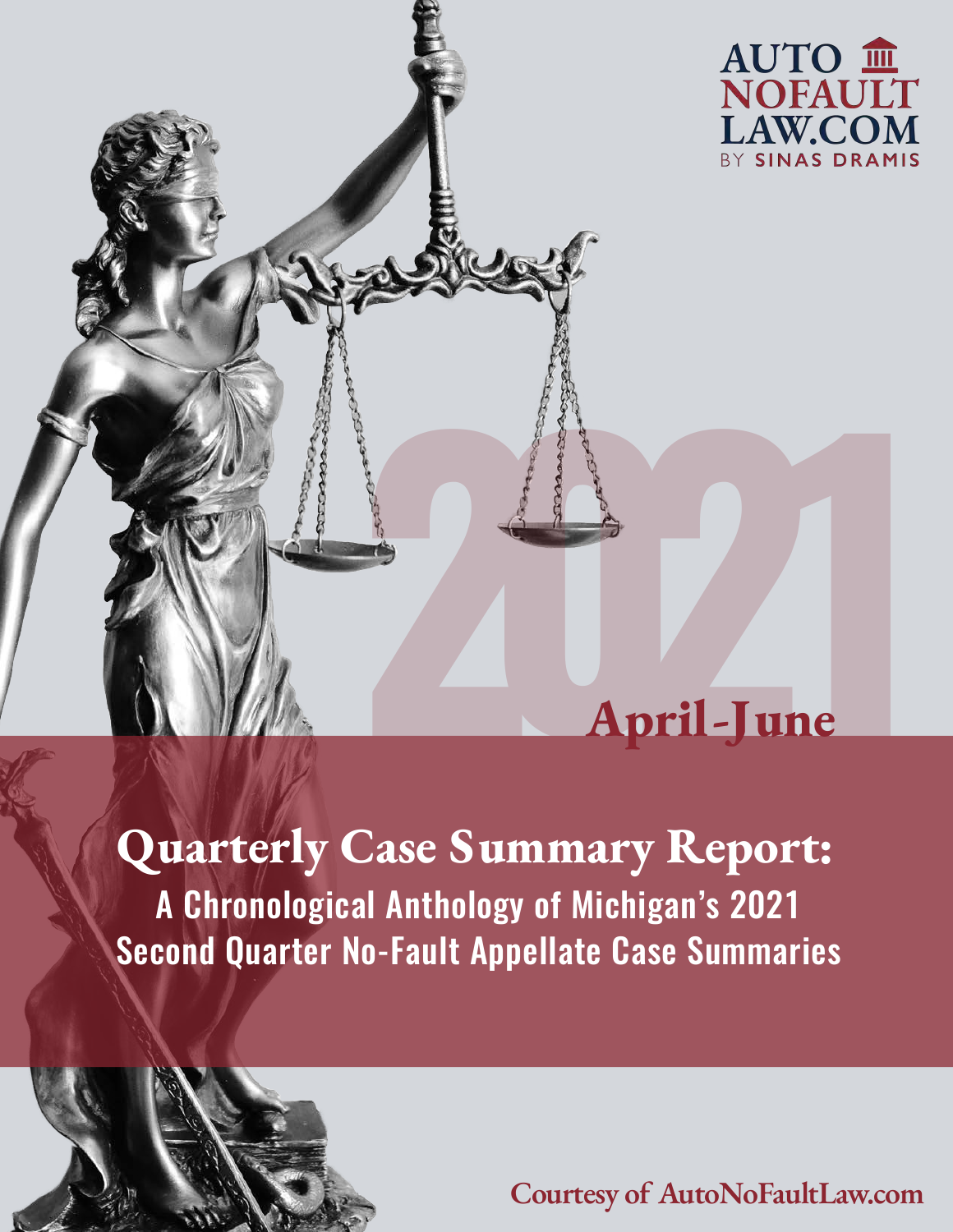

# **April-June 2021**<br>**2021**<br>**2021**<br>**2021**<br>**2021**

A Chronological Anthology of Michigan's 2021 Second Quarter No-Fault Appellate Case Summaries **Quarterly Case Summary Report:**

**Courtesy of AutoNoFaultLaw.com**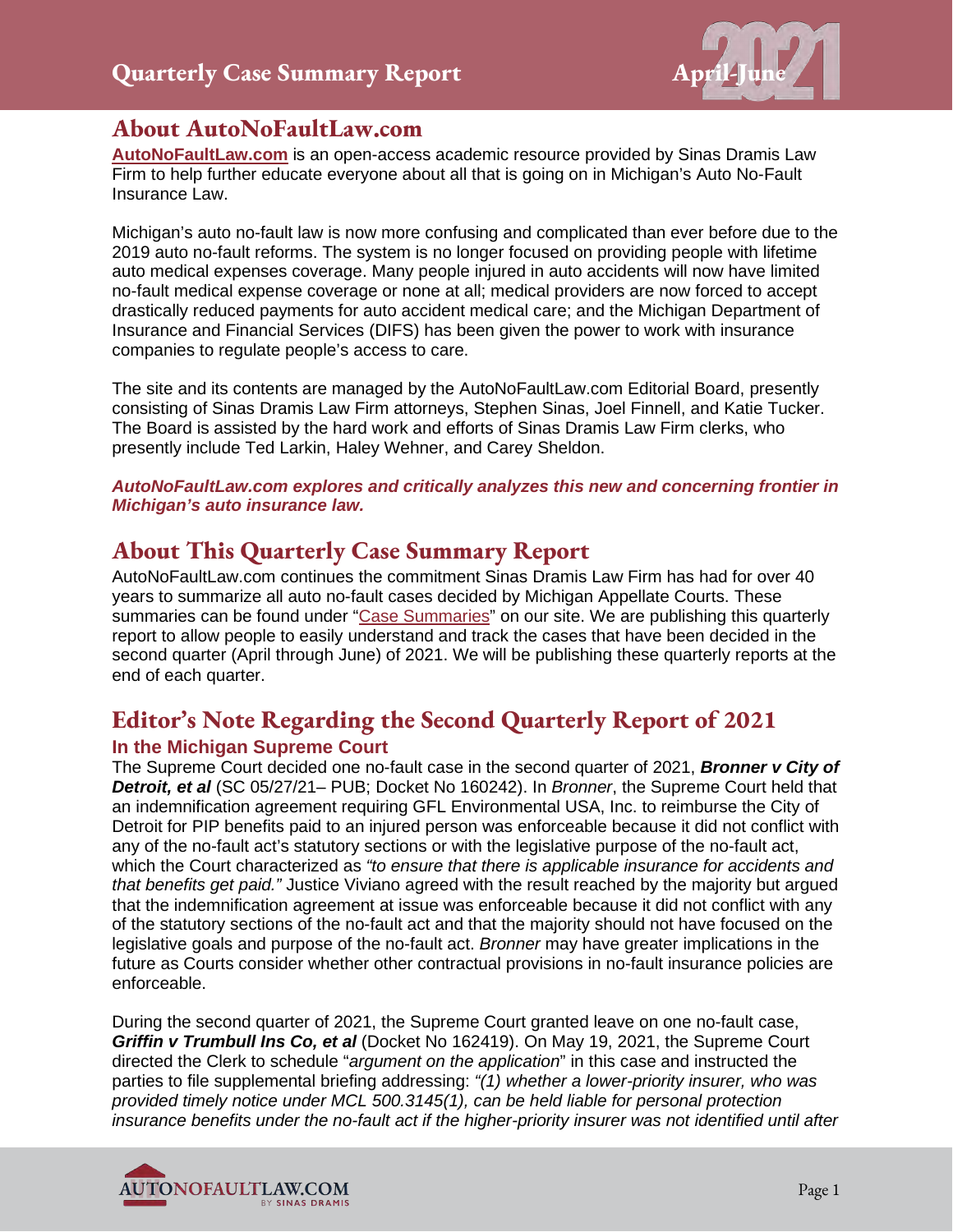

#### **About AutoNoFaultLaw.com**

**[AutoNoFaultLaw.com](https://autonofaultlaw.com/)** is an open-access academic resource provided by Sinas Dramis Law Firm to help further educate everyone about all that is going on in Michigan's Auto No-Fault Insurance Law.

Michigan's auto no-fault law is now more confusing and complicated than ever before due to the 2019 auto no-fault reforms. The system is no longer focused on providing people with lifetime auto medical expenses coverage. Many people injured in auto accidents will now have limited no-fault medical expense coverage or none at all; medical providers are now forced to accept drastically reduced payments for auto accident medical care; and the Michigan Department of Insurance and Financial Services (DIFS) has been given the power to work with insurance companies to regulate people's access to care.

The site and its contents are managed by the AutoNoFaultLaw.com Editorial Board, presently consisting of Sinas Dramis Law Firm attorneys, Stephen Sinas, Joel Finnell, and Katie Tucker. The Board is assisted by the hard work and efforts of Sinas Dramis Law Firm clerks, who presently include Ted Larkin, Haley Wehner, and Carey Sheldon.

*AutoNoFaultLaw.com explores and critically analyzes this new and concerning frontier in Michigan's auto insurance law.* 

#### **About This Quarterly Case Summary Report**

AutoNoFaultLaw.com continues the commitment Sinas Dramis Law Firm has had for over 40 years to summarize all auto no-fault cases decided by Michigan Appellate Courts. These summaries can be found under ["Case Summaries"](https://autonofaultlaw.com/digital-library/) on our site. We are publishing this quarterly report to allow people to easily understand and track the cases that have been decided in the second quarter (April through June) of 2021. We will be publishing these quarterly reports at the end of each quarter.

## **Editor's Note Regarding the Second Quarterly Report of 2021**

#### **In the Michigan Supreme Court**

The Supreme Court decided one no-fault case in the second quarter of 2021, *Bronner v City of Detroit, et al* (SC 05/27/21– PUB; Docket No 160242). In *Bronner*, the Supreme Court held that an indemnification agreement requiring GFL Environmental USA, Inc. to reimburse the City of Detroit for PIP benefits paid to an injured person was enforceable because it did not conflict with any of the no-fault act's statutory sections or with the legislative purpose of the no-fault act, which the Court characterized as *"to ensure that there is applicable insurance for accidents and that benefits get paid."* Justice Viviano agreed with the result reached by the majority but argued that the indemnification agreement at issue was enforceable because it did not conflict with any of the statutory sections of the no-fault act and that the majority should not have focused on the legislative goals and purpose of the no-fault act. *Bronner* may have greater implications in the future as Courts consider whether other contractual provisions in no-fault insurance policies are enforceable.

During the second quarter of 2021, the Supreme Court granted leave on one no-fault case, *Griffin v Trumbull Ins Co, et al* (Docket No 162419). On May 19, 2021, the Supreme Court directed the Clerk to schedule "*argument on the application*" in this case and instructed the parties to file supplemental briefing addressing: *"(1) whether a lower-priority insurer, who was provided timely notice under MCL 500.3145(1), can be held liable for personal protection insurance benefits under the no-fault act if the higher-priority insurer was not identified until after* 

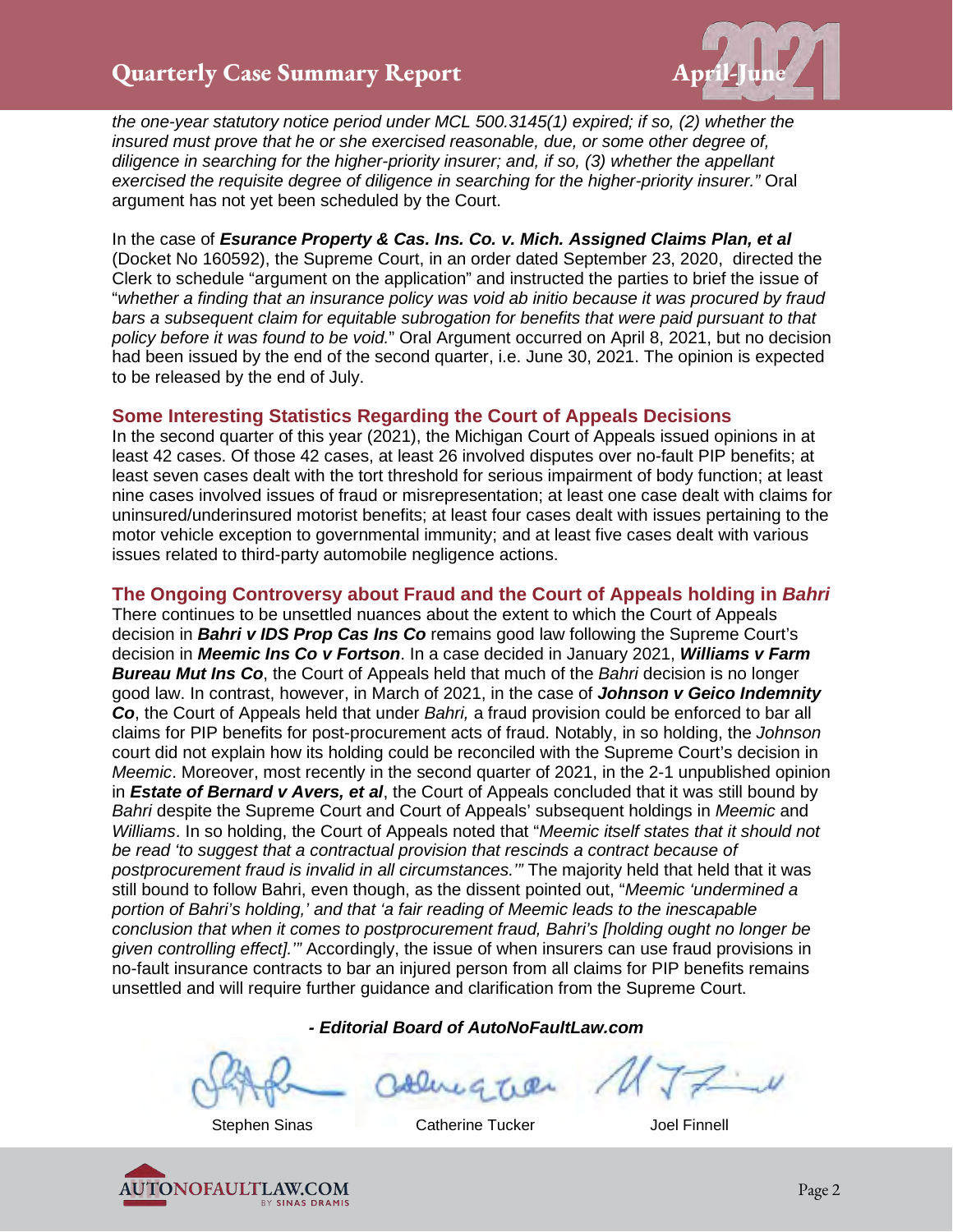

*the one-year statutory notice period under MCL 500.3145(1) expired; if so, (2) whether the insured must prove that he or she exercised reasonable, due, or some other degree of, diligence in searching for the higher-priority insurer; and, if so, (3) whether the appellant exercised the requisite degree of diligence in searching for the higher-priority insurer."* Oral argument has not yet been scheduled by the Court.

In the case of *Esurance Property & Cas. Ins. Co. v. Mich. Assigned Claims Plan, et al* (Docket No 160592), the Supreme Court, in an order dated September 23, 2020, directed the Clerk to schedule "argument on the application" and instructed the parties to brief the issue of "*whether a finding that an insurance policy was void ab initio because it was procured by fraud bars a subsequent claim for equitable subrogation for benefits that were paid pursuant to that policy before it was found to be void.*" Oral Argument occurred on April 8, 2021, but no decision had been issued by the end of the second quarter, i.e. June 30, 2021. The opinion is expected to be released by the end of July.

#### **Some Interesting Statistics Regarding the Court of Appeals Decisions**

In the second quarter of this year (2021), the Michigan Court of Appeals issued opinions in at least 42 cases. Of those 42 cases, at least 26 involved disputes over no-fault PIP benefits; at least seven cases dealt with the tort threshold for serious impairment of body function; at least nine cases involved issues of fraud or misrepresentation; at least one case dealt with claims for uninsured/underinsured motorist benefits; at least four cases dealt with issues pertaining to the motor vehicle exception to governmental immunity; and at least five cases dealt with various issues related to third-party automobile negligence actions.

#### **The Ongoing Controversy about Fraud and the Court of Appeals holding in** *Bahri*

There continues to be unsettled nuances about the extent to which the Court of Appeals decision in *Bahri v IDS Prop Cas Ins Co* remains good law following the Supreme Court's decision in *Meemic Ins Co v Fortson*. In a case decided in January 2021, *Williams v Farm*  **Bureau Mut Ins Co**, the Court of Appeals held that much of the *Bahri* decision is no longer good law. In contrast, however, in March of 2021, in the case of *Johnson v Geico Indemnity Co*, the Court of Appeals held that under *Bahri,* a fraud provision could be enforced to bar all claims for PIP benefits for post-procurement acts of fraud. Notably, in so holding, the *Johnson* court did not explain how its holding could be reconciled with the Supreme Court's decision in *Meemic*. Moreover, most recently in the second quarter of 2021, in the 2-1 unpublished opinion in *Estate of Bernard v Avers, et al*, the Court of Appeals concluded that it was still bound by *Bahri* despite the Supreme Court and Court of Appeals' subsequent holdings in *Meemic* and *Williams*. In so holding, the Court of Appeals noted that "*Meemic itself states that it should not be read 'to suggest that a contractual provision that rescinds a contract because of postprocurement fraud is invalid in all circumstances.'"* The majority held that held that it was still bound to follow Bahri, even though, as the dissent pointed out, "*Meemic 'undermined a portion of Bahri's holding,' and that 'a fair reading of Meemic leads to the inescapable conclusion that when it comes to postprocurement fraud, Bahri's [holding ought no longer be given controlling effect].'"* Accordingly, the issue of when insurers can use fraud provisions in no-fault insurance contracts to bar an injured person from all claims for PIP benefits remains unsettled and will require further guidance and clarification from the Supreme Court.

*- Editorial Board of AutoNoFaultLaw.com*

 $G$   $T_1$  Q

Stephen Sinas Catherine Tucker General Duel Finnell

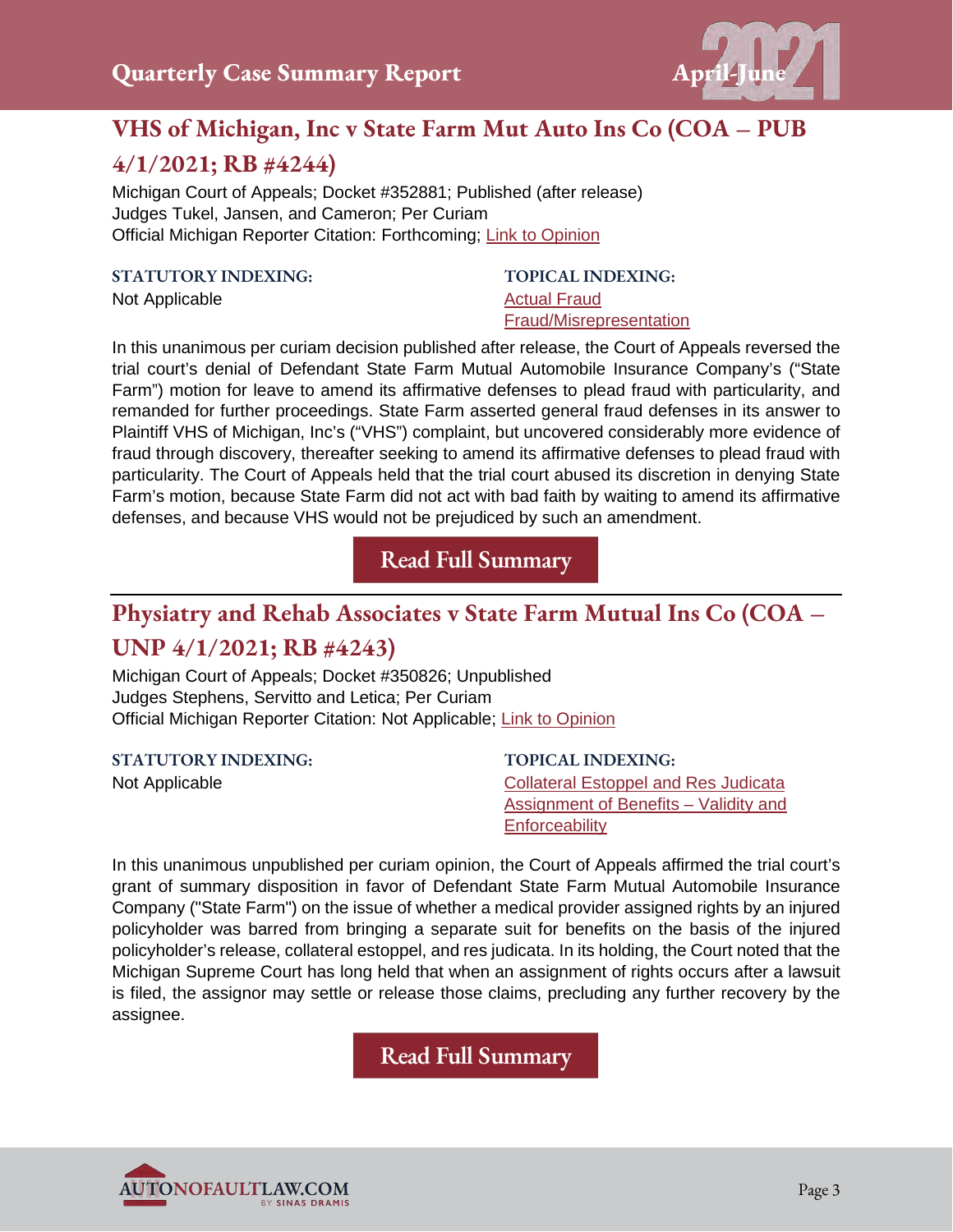

## **VHS of Michigan, Inc v State Farm Mut Auto Ins Co (COA – PUB**

## **4/1/2021; RB #4244)**

Michigan Court of Appeals; Docket #352881; Published (after release) Judges Tukel, Jansen, and Cameron; Per Curiam Official Michigan Reporter Citation: Forthcoming; [Link to Opinion](https://autonofaultlaw.com/digital-library/images/pdf/Opinions-2021/5215-vhs-of-michigan-inc-v-state-farm-mut-auto-ins-co.pdf)

#### **STATUTORY INDEXING:**

Not Applicable

**TOPICAL INDEXING:**  [Actual Fraud](https://www.autonofaultlaw.com/digital-library/index.php?option=com_content&view=article&id=1288)  [Fraud/Misrepresentation](https://www.autonofaultlaw.com/digital-library/index.php?option=com_content&view=article&id=1869)

In this unanimous per curiam decision published after release, the Court of Appeals reversed the trial court's denial of Defendant State Farm Mutual Automobile Insurance Company's ("State Farm") motion for leave to amend its affirmative defenses to plead fraud with particularity, and remanded for further proceedings. State Farm asserted general fraud defenses in its answer to Plaintiff VHS of Michigan, Inc's ("VHS") complaint, but uncovered considerably more evidence of fraud through discovery, thereafter seeking to amend its affirmative defenses to plead fraud with particularity. The Court of Appeals held that the trial court abused its discretion in denying State Farm's motion, because State Farm did not act with bad faith by waiting to amend its affirmative defenses, and because VHS would not be prejudiced by such an amendment.

**[Read Full Summary](https://autonofaultlaw.com/digital-library/index.php/case-summaries/5215-vhs-of-michigan-inc-v-state-farm-mut-auto-ins-co-4-1-2021-michigan-court-of-appeals)**

# **Physiatry and Rehab Associates v State Farm Mutual Ins Co (COA –**

#### **UNP 4/1/2021; RB #4243)**

Michigan Court of Appeals; Docket #350826; Unpublished Judges Stephens, Servitto and Letica; Per Curiam Official Michigan Reporter Citation: Not Applicable; [Link to Opinion](https://autonofaultlaw.com/digital-library/images/Physiatry_and_Rehab_v_State_Farm.PDF)

**STATUTORY INDEXING:**

Not Applicable

**TOPICAL INDEXING:** [Collateral Estoppel and Res Judicata](https://www.autonofaultlaw.com/digital-library/index.php?option=com_content&view=article&id=859) [Assignment of Benefits – Validity and](https://www.autonofaultlaw.com/digital-library/index.php?option=com_content&view=article&id=4863)  **[Enforceability](https://www.autonofaultlaw.com/digital-library/index.php?option=com_content&view=article&id=4863)** 

In this unanimous unpublished per curiam opinion, the Court of Appeals affirmed the trial court's grant of summary disposition in favor of Defendant State Farm Mutual Automobile Insurance Company ("State Farm") on the issue of whether a medical provider assigned rights by an injured policyholder was barred from bringing a separate suit for benefits on the basis of the injured policyholder's release, collateral estoppel, and res judicata. In its holding, the Court noted that the Michigan Supreme Court has long held that when an assignment of rights occurs after a lawsuit is filed, the assignor may settle or release those claims, precluding any further recovery by the assignee.

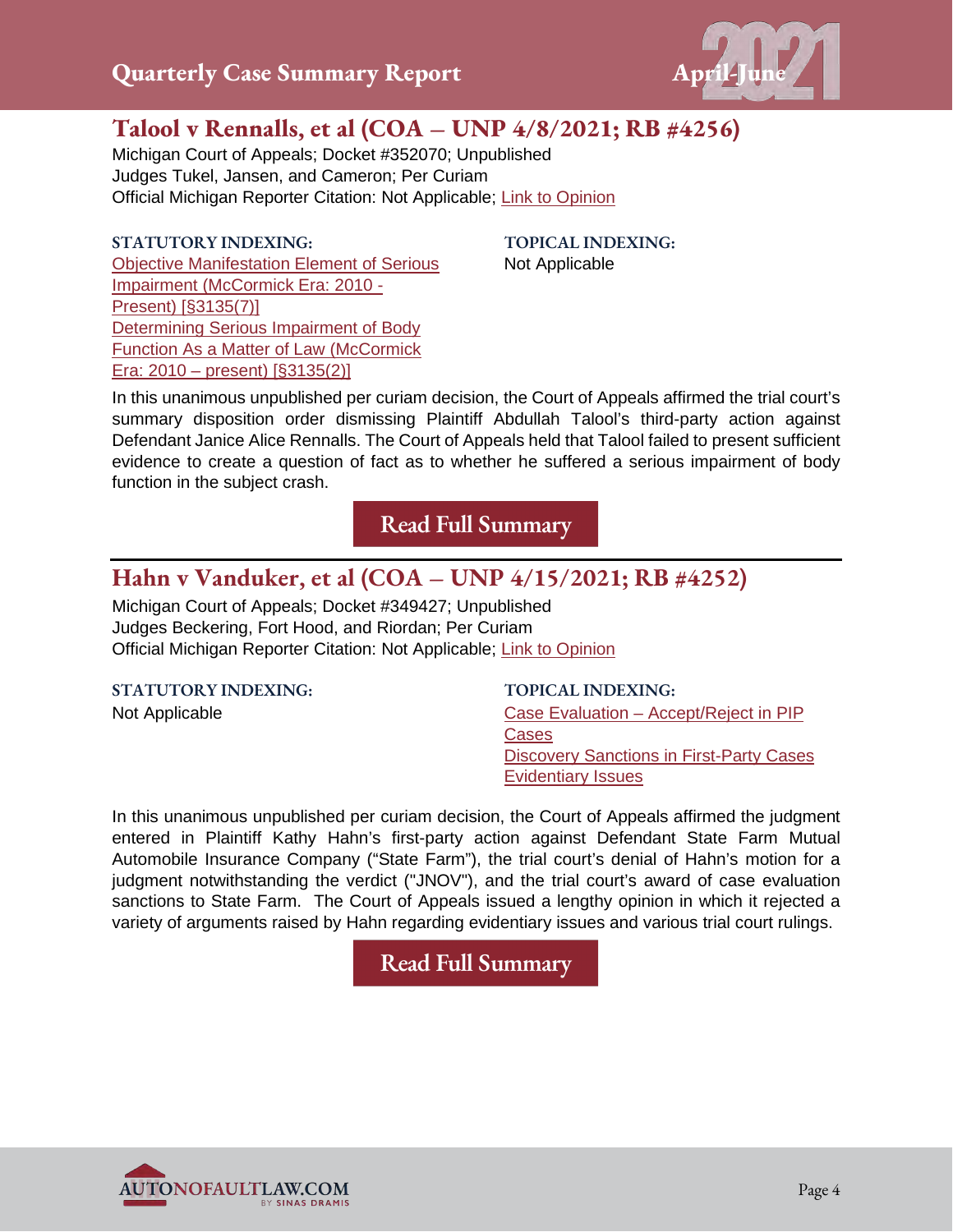

## **Talool v Rennalls, et al (COA – UNP 4/8/2021; RB #4256)**

Michigan Court of Appeals; Docket #352070; Unpublished Judges Tukel, Jansen, and Cameron; Per Curiam Official Michigan Reporter Citation: Not Applicable; [Link to Opinion](https://autonofaultlaw.com/digital-library/images/pdf/Opinions-2021/5229-talool-v-rennalls-et-al.pdf)

#### **STATUTORY INDEXING:**

[Objective Manifestation Element of Serious](https://www.autonofaultlaw.com/digital-library/index.php?option=com_content&view=article&id=924)  [Impairment \(McCormick Era: 2010 -](https://www.autonofaultlaw.com/digital-library/index.php?option=com_content&view=article&id=924)  [Present\) \[§3135\(7\)\]](https://www.autonofaultlaw.com/digital-library/index.php?option=com_content&view=article&id=924) [Determining Serious Impairment of Body](https://www.autonofaultlaw.com/digital-library/index.php?option=com_content&view=article&id=912)  [Function As a Matter of Law \(McCormick](https://www.autonofaultlaw.com/digital-library/index.php?option=com_content&view=article&id=912)  [Era: 2010 – present\) \[§3135\(2\)\]](https://www.autonofaultlaw.com/digital-library/index.php?option=com_content&view=article&id=912)

**TOPICAL INDEXING:**  Not Applicable

In this unanimous unpublished per curiam decision, the Court of Appeals affirmed the trial court's summary disposition order dismissing Plaintiff Abdullah Talool's third-party action against Defendant Janice Alice Rennalls. The Court of Appeals held that Talool failed to present sufficient evidence to create a question of fact as to whether he suffered a serious impairment of body function in the subject crash.

**[Read Full Summary](https://autonofaultlaw.com/digital-library/index.php/case-summaries/5229-talool-v-rennalls-et-al-4-8-2021-michigan-court-of-appeals)**

#### **Hahn v Vanduker, et al (COA – UNP 4/15/2021; RB #4252)**

Michigan Court of Appeals; Docket #349427; Unpublished Judges Beckering, Fort Hood, and Riordan; Per Curiam Official Michigan Reporter Citation: Not Applicable; [Link to Opinion](https://autonofaultlaw.com/digital-library/images/Hahn_v_Vanduker_et_al.PDF)

**STATUTORY INDEXING:** Not Applicable **[Cases](https://www.autonofaultlaw.com/digital-library/index.php?option=com_content&view=article&id=3434)** 

**TOPICAL INDEXING:**

[Case Evaluation – Accept/Reject in PIP](https://www.autonofaultlaw.com/digital-library/index.php?option=com_content&view=article&id=3434)  [Discovery Sanctions in First-Party Cases](https://www.autonofaultlaw.com/digital-library/4964-ti-discovery-sanctions-in-first-party-cases) [Evidentiary Issues](https://www.autonofaultlaw.com/digital-library/index.php?option=com_content&view=article&id=1630)

In this unanimous unpublished per curiam decision, the Court of Appeals affirmed the judgment entered in Plaintiff Kathy Hahn's first-party action against Defendant State Farm Mutual Automobile Insurance Company ("State Farm"), the trial court's denial of Hahn's motion for a judgment notwithstanding the verdict ("JNOV"), and the trial court's award of case evaluation sanctions to State Farm. The Court of Appeals issued a lengthy opinion in which it rejected a variety of arguments raised by Hahn regarding evidentiary issues and various trial court rulings.

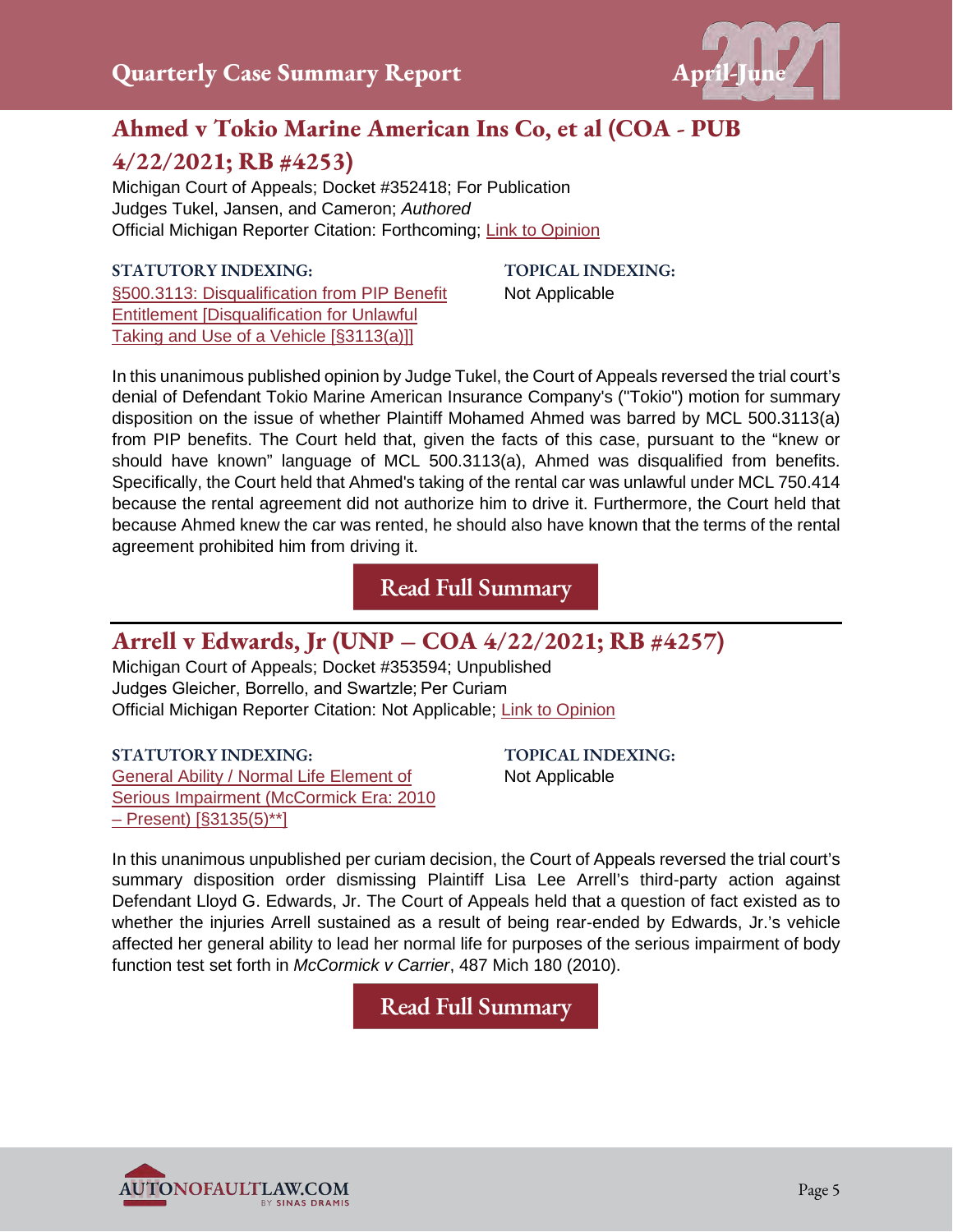

## **Ahmed v Tokio Marine American Ins Co, et al (COA - PUB 4/22/2021; RB #4253)**

Michigan Court of Appeals; Docket #352418; For Publication Judges Tukel, Jansen, and Cameron; *Authored* Official Michigan Reporter Citation: Forthcoming; [Link to Opinion](https://autonofaultlaw.com/digital-library/images/Ahmed_et_al_v_Tokio_Marine_American_Ins_Co_et_al.PDF)

#### **STATUTORY INDEXING:**

[§500.3113: Disqualification from PIP Benefit](https://www.autonofaultlaw.com/digital-library/index.php?option=com_content&view=article&id=72)  [Entitlement \[Disqualification for Unlawful](https://www.autonofaultlaw.com/digital-library/index.php?option=com_content&view=article&id=72)  [Taking and Use of a Vehicle \[§3113\(a\)\]\]](https://www.autonofaultlaw.com/digital-library/index.php?option=com_content&view=article&id=72)

**TOPICAL INDEXING:** Not Applicable

In this unanimous published opinion by Judge Tukel, the Court of Appeals reversed the trial court's denial of Defendant Tokio Marine American Insurance Company's ("Tokio") motion for summary disposition on the issue of whether Plaintiff Mohamed Ahmed was barred by MCL 500.3113(a) from PIP benefits. The Court held that, given the facts of this case, pursuant to the "knew or should have known" language of MCL 500.3113(a), Ahmed was disqualified from benefits. Specifically, the Court held that Ahmed's taking of the rental car was unlawful under MCL 750.414 because the rental agreement did not authorize him to drive it. Furthermore, the Court held that because Ahmed knew the car was rented, he should also have known that the terms of the rental agreement prohibited him from driving it.

**[Read Full Summary](https://autonofaultlaw.com/digital-library/index.php/49-training/5225-ahmed-v-tokio-marine-american-ins-co-et-al-4-22-2021-michigan-court-of-appeals)**

#### **Arrell v Edwards, Jr (UNP – COA 4/22/2021; RB #4257)**

Michigan Court of Appeals; Docket #353594; Unpublished Judges Gleicher, Borrello, and Swartzle; Per Curiam Official Michigan Reporter Citation: Not Applicable; [Link to Opinion](https://autonofaultlaw.com/digital-library/images/pdf/Opinions-2021/5252-Arrell_v_Edwards.PDF)

**STATUTORY INDEXING:** [General Ability / Normal Life Element of](https://www.autonofaultlaw.com/digital-library/index.php?option=com_content&view=article&id=916)  [Serious Impairment \(McCormick Era: 2010](https://www.autonofaultlaw.com/digital-library/index.php?option=com_content&view=article&id=916)  [– Present\) \[§3135\(5\)\\*\\*\]](https://www.autonofaultlaw.com/digital-library/index.php?option=com_content&view=article&id=916)

**TOPICAL INDEXING:** Not Applicable

In this unanimous unpublished per curiam decision, the Court of Appeals reversed the trial court's summary disposition order dismissing Plaintiff Lisa Lee Arrell's third-party action against Defendant Lloyd G. Edwards, Jr. The Court of Appeals held that a question of fact existed as to whether the injuries Arrell sustained as a result of being rear-ended by Edwards, Jr.'s vehicle affected her general ability to lead her normal life for purposes of the serious impairment of body function test set forth in *McCormick v Carrier*, 487 Mich 180 (2010).

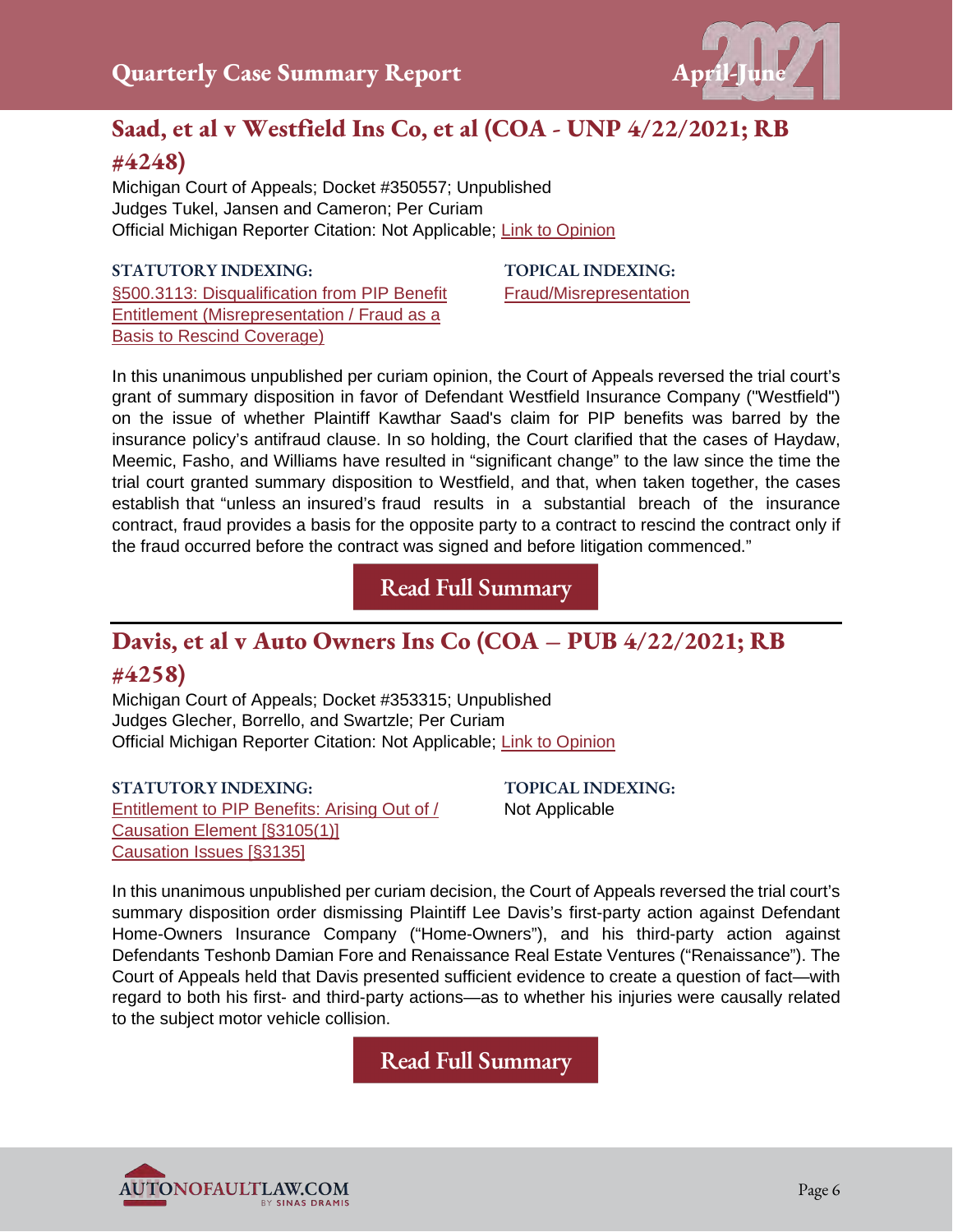

## **Saad, et al v Westfield Ins Co, et al (COA - UNP 4/22/2021; RB #4248)**

Michigan Court of Appeals; Docket #350557; Unpublished Judges Tukel, Jansen and Cameron; Per Curiam Official Michigan Reporter Citation: Not Applicable; [Link to Opinion](https://autonofaultlaw.com/digital-library/images/Saad_et_al_v_Westfield_Ins_Co_et_al.PDF)

#### **STATUTORY INDEXING:**

[§500.3113: Disqualification from PIP Benefit](https://autonofaultlaw.com/digital-library/index.php?option=com_content&view=article&id=74)  [Entitlement \(Misrepresentation / Fraud as a](https://autonofaultlaw.com/digital-library/index.php?option=com_content&view=article&id=74)  **[Basis to Rescind Coverage\)](https://autonofaultlaw.com/digital-library/index.php?option=com_content&view=article&id=74)** 

**TOPICAL INDEXING:** [Fraud/Misrepresentation](https://autonofaultlaw.com/digital-library/index.php?option=com_content&view=article&id=1869)

In this unanimous unpublished per curiam opinion, the Court of Appeals reversed the trial court's grant of summary disposition in favor of Defendant Westfield Insurance Company ("Westfield") on the issue of whether Plaintiff Kawthar Saad's claim for PIP benefits was barred by the insurance policy's antifraud clause. In so holding, the Court clarified that the cases of Haydaw, Meemic, Fasho, and Williams have resulted in "significant change" to the law since the time the trial court granted summary disposition to Westfield, and that, when taken together, the cases establish that "unless an insured's fraud results in a substantial breach of the insurance contract, fraud provides a basis for the opposite party to a contract to rescind the contract only if the fraud occurred before the contract was signed and before litigation commenced."

**[Read Full Summary](https://autonofaultlaw.com/digital-library/index.php/case-summaries/5219-saad-et-al-v-westfield-ins-co-et-al-4-22-2021-michigan-court-of-appeals)**

#### **Davis, et al v Auto Owners Ins Co (COA – PUB 4/22/2021; RB #4258)**

Michigan Court of Appeals; Docket #353315; Unpublished Judges Glecher, Borrello, and Swartzle; Per Curiam Official Michigan Reporter Citation: Not Applicable; [Link to Opinion](https://autonofaultlaw.com/digital-library/images/pdf/Opinions-2021/5255_Davis_et_al_v_Auto_Owners_Ins_Co_et_al.PDF)

**STATUTORY INDEXING:**

[Entitlement to PIP Benefits: Arising Out of /](https://www.autonofaultlaw.com/digital-library/index.php?option=com_content&view=article&id=176)  [Causation Element \[§3105\(1\)\]](https://www.autonofaultlaw.com/digital-library/index.php?option=com_content&view=article&id=176) [Causation Issues \[§3135\]](https://www.autonofaultlaw.com/digital-library/index.php?option=com_content&view=article&id=158)

**TOPICAL INDEXING:** Not Applicable

In this unanimous unpublished per curiam decision, the Court of Appeals reversed the trial court's summary disposition order dismissing Plaintiff Lee Davis's first-party action against Defendant Home-Owners Insurance Company ("Home-Owners"), and his third-party action against Defendants Teshonb Damian Fore and Renaissance Real Estate Ventures ("Renaissance"). The Court of Appeals held that Davis presented sufficient evidence to create a question of fact—with regard to both his first- and third-party actions—as to whether his injuries were causally related to the subject motor vehicle collision.

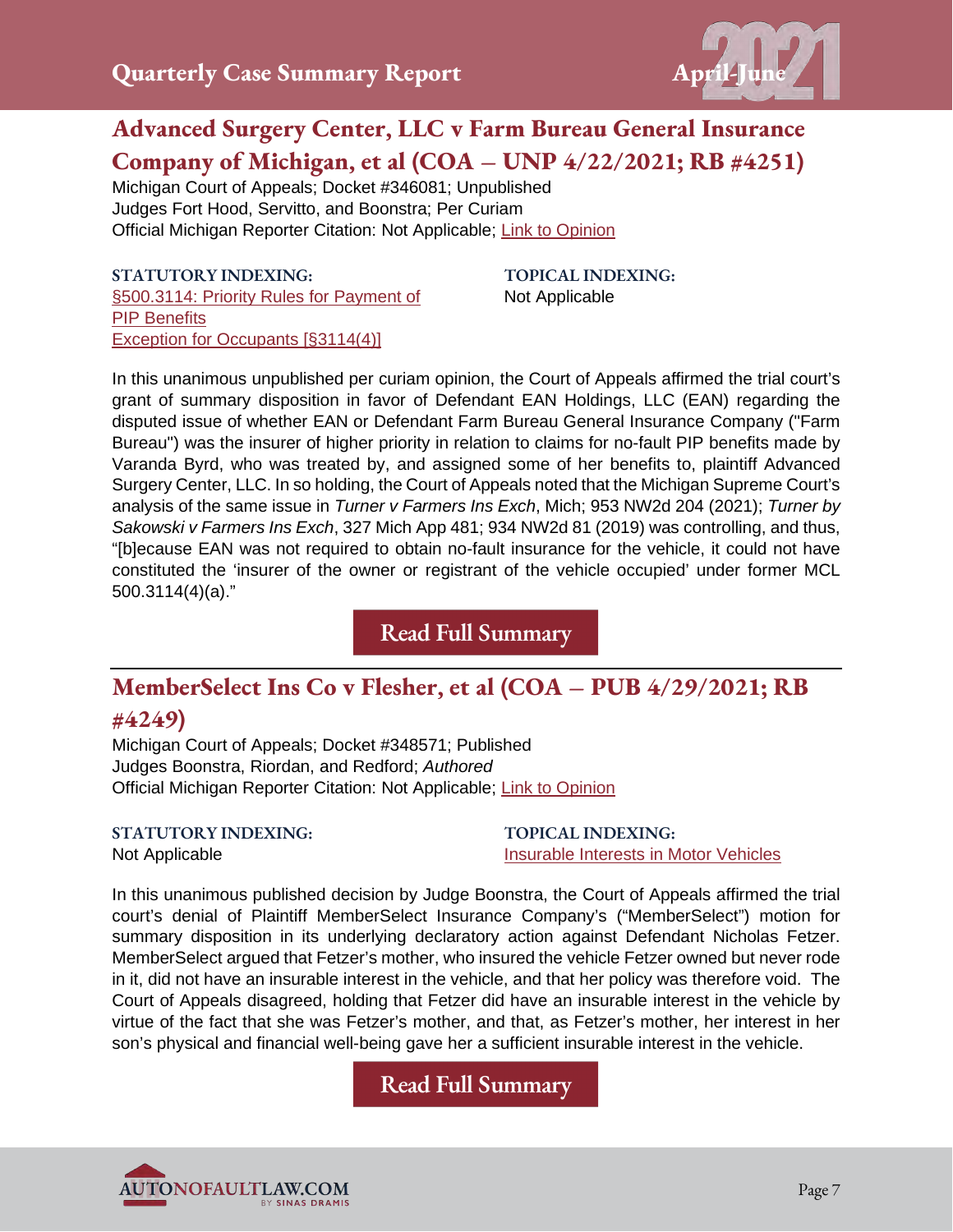

## **Advanced Surgery Center, LLC v Farm Bureau General Insurance Company of Michigan, et al (COA – UNP 4/22/2021; RB #4251)**

Michigan Court of Appeals; Docket #346081; Unpublished Judges Fort Hood, Servitto, and Boonstra; Per Curiam Official Michigan Reporter Citation: Not Applicable; [Link to Opinion](https://autonofaultlaw.com/digital-library/images/Advanced_Surgery_Center_LLC_v._Farm_Bureau_General_Ins_Co_of_Michigan_et_al.PDF)

**STATUTORY INDEXING:** [§500.3114: Priority Rules for Payment of](https://autonofaultlaw.com/digital-library/index.php?option=com_content&view=article&id=99)  [PIP Benefits](https://autonofaultlaw.com/digital-library/index.php?option=com_content&view=article&id=99) [Exception for Occupants \[§3114\(4\)\]](https://autonofaultlaw.com/digital-library/index.php?option=com_content&view=article&id=99)

**TOPICAL INDEXING:** Not Applicable

In this unanimous unpublished per curiam opinion, the Court of Appeals affirmed the trial court's grant of summary disposition in favor of Defendant EAN Holdings, LLC (EAN) regarding the disputed issue of whether EAN or Defendant Farm Bureau General Insurance Company ("Farm Bureau") was the insurer of higher priority in relation to claims for no-fault PIP benefits made by Varanda Byrd, who was treated by, and assigned some of her benefits to, plaintiff Advanced Surgery Center, LLC. In so holding, the Court of Appeals noted that the Michigan Supreme Court's analysis of the same issue in *Turner v Farmers Ins Exch*, Mich; 953 NW2d 204 (2021); *Turner by Sakowski v Farmers Ins Exch*, 327 Mich App 481; 934 NW2d 81 (2019) was controlling, and thus, "[b]ecause EAN was not required to obtain no-fault insurance for the vehicle, it could not have constituted the 'insurer of the owner or registrant of the vehicle occupied' under former MCL 500.3114(4)(a)."

**[Read Full Summary](https://www.autonofaultlaw.com/digital-library/index.php/case-summaries/5223-advanced-surgery-center-llc-v-farm-bureau-general-insurance-company-of-michigan-et-al-4-22-2021-michigan-court-of-appeals)**

## **MemberSelect Ins Co v Flesher, et al (COA – PUB 4/29/2021; RB**

#### **#4249)**

Michigan Court of Appeals; Docket #348571; Published Judges Boonstra, Riordan, and Redford; *Authored* Official Michigan Reporter Citation: Not Applicable; [Link to Opinion](https://autonofaultlaw.com/digital-library/images/Member_Select_Ins_Co_v_Flesher_et_al.PDF)

**STATUTORY INDEXING:** Not Applicable

**TOPICAL INDEXING:** [Insurable Interests in Motor Vehicles](https://www.autonofaultlaw.com/digital-library/4993-ti-insurable-interests-in-motor-vehicles)

In this unanimous published decision by Judge Boonstra, the Court of Appeals affirmed the trial court's denial of Plaintiff MemberSelect Insurance Company's ("MemberSelect") motion for summary disposition in its underlying declaratory action against Defendant Nicholas Fetzer. MemberSelect argued that Fetzer's mother, who insured the vehicle Fetzer owned but never rode in it, did not have an insurable interest in the vehicle, and that her policy was therefore void. The Court of Appeals disagreed, holding that Fetzer did have an insurable interest in the vehicle by virtue of the fact that she was Fetzer's mother, and that, as Fetzer's mother, her interest in her son's physical and financial well-being gave her a sufficient insurable interest in the vehicle.

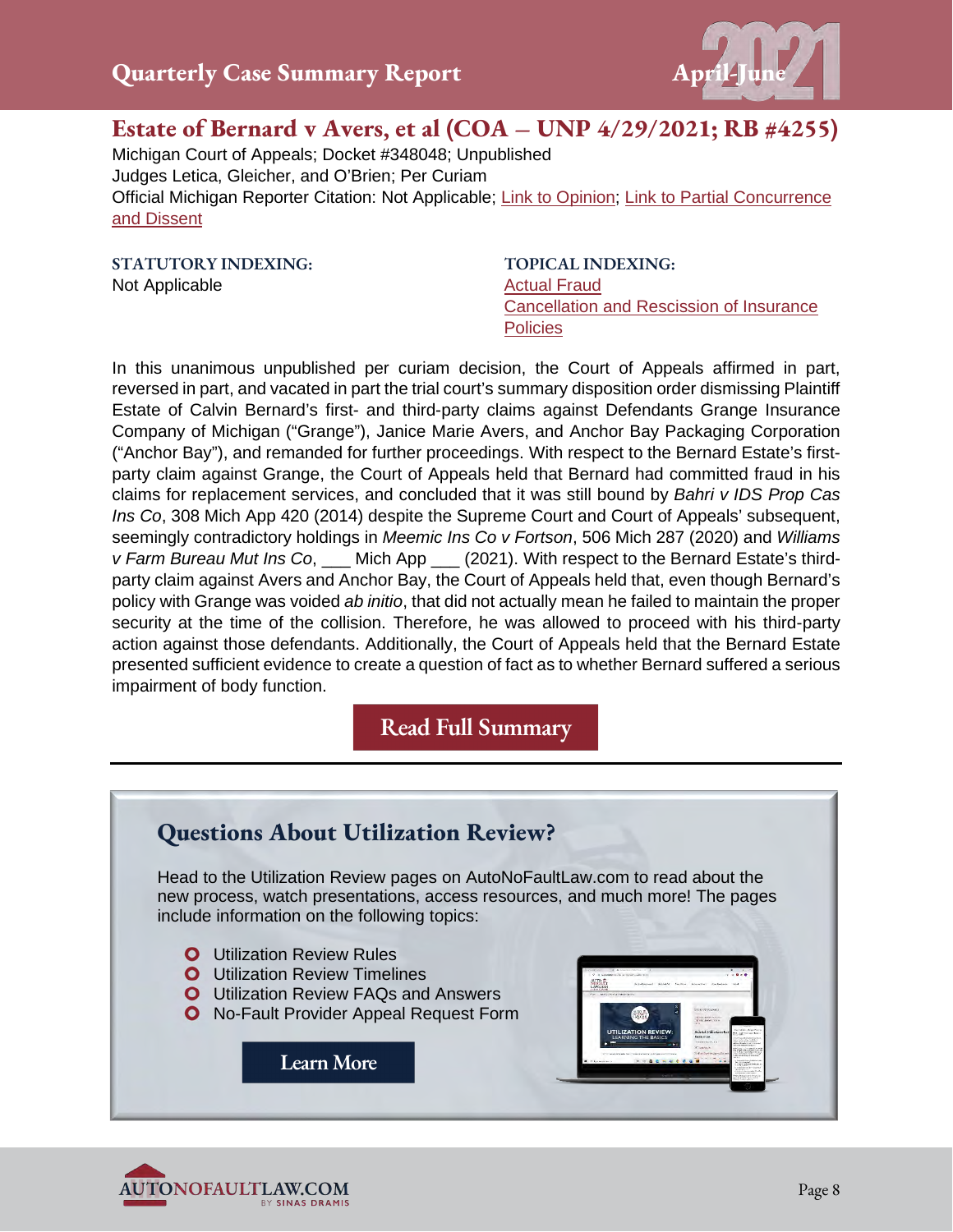

#### **Estate of Bernard v Avers, et al (COA – UNP 4/29/2021; RB #4255)**

Michigan Court of Appeals; Docket #348048; Unpublished Judges Letica, Gleicher, and O'Brien; Per Curiam

Official Michigan Reporter Citation: Not Applicable; [Link to Opinion;](https://autonofaultlaw.com/digital-library/images/pdf/Opinions-2021/5254_Estate_of_Bernard_v_Avers_et_al.pdf) [Link to Partial Concurrence](https://autonofaultlaw.com/digital-library/images/pdf/Opinions-2021/5254_Estate_of_Bernard_v_Avers_et_al-partial_concurrence_and_dissent.pdf)  [and Dissent](https://autonofaultlaw.com/digital-library/images/pdf/Opinions-2021/5254_Estate_of_Bernard_v_Avers_et_al-partial_concurrence_and_dissent.pdf)

**STATUTORY INDEXING:** Not Applicable

**TOPICAL INDEXING:** [Actual Fraud](https://www.autonofaultlaw.com/digital-library/index.php?option=com_content&view=article&id=1288) [Cancellation and Rescission of Insurance](https://www.autonofaultlaw.com/digital-library/index.php?option=com_content&view=article&id=855)  **[Policies](https://www.autonofaultlaw.com/digital-library/index.php?option=com_content&view=article&id=855)** 

In this unanimous unpublished per curiam decision, the Court of Appeals affirmed in part, reversed in part, and vacated in part the trial court's summary disposition order dismissing Plaintiff Estate of Calvin Bernard's first- and third-party claims against Defendants Grange Insurance Company of Michigan ("Grange"), Janice Marie Avers, and Anchor Bay Packaging Corporation ("Anchor Bay"), and remanded for further proceedings. With respect to the Bernard Estate's firstparty claim against Grange, the Court of Appeals held that Bernard had committed fraud in his claims for replacement services, and concluded that it was still bound by *Bahri v IDS Prop Cas Ins Co*, 308 Mich App 420 (2014) despite the Supreme Court and Court of Appeals' subsequent, seemingly contradictory holdings in *Meemic Ins Co v Fortson*, 506 Mich 287 (2020) and *Williams v Farm Bureau Mut Ins Co*, \_\_\_ Mich App \_\_\_ (2021). With respect to the Bernard Estate's thirdparty claim against Avers and Anchor Bay, the Court of Appeals held that, even though Bernard's policy with Grange was voided *ab initio*, that did not actually mean he failed to maintain the proper security at the time of the collision. Therefore, he was allowed to proceed with his third-party action against those defendants. Additionally, the Court of Appeals held that the Bernard Estate presented sufficient evidence to create a question of fact as to whether Bernard suffered a serious impairment of body function.



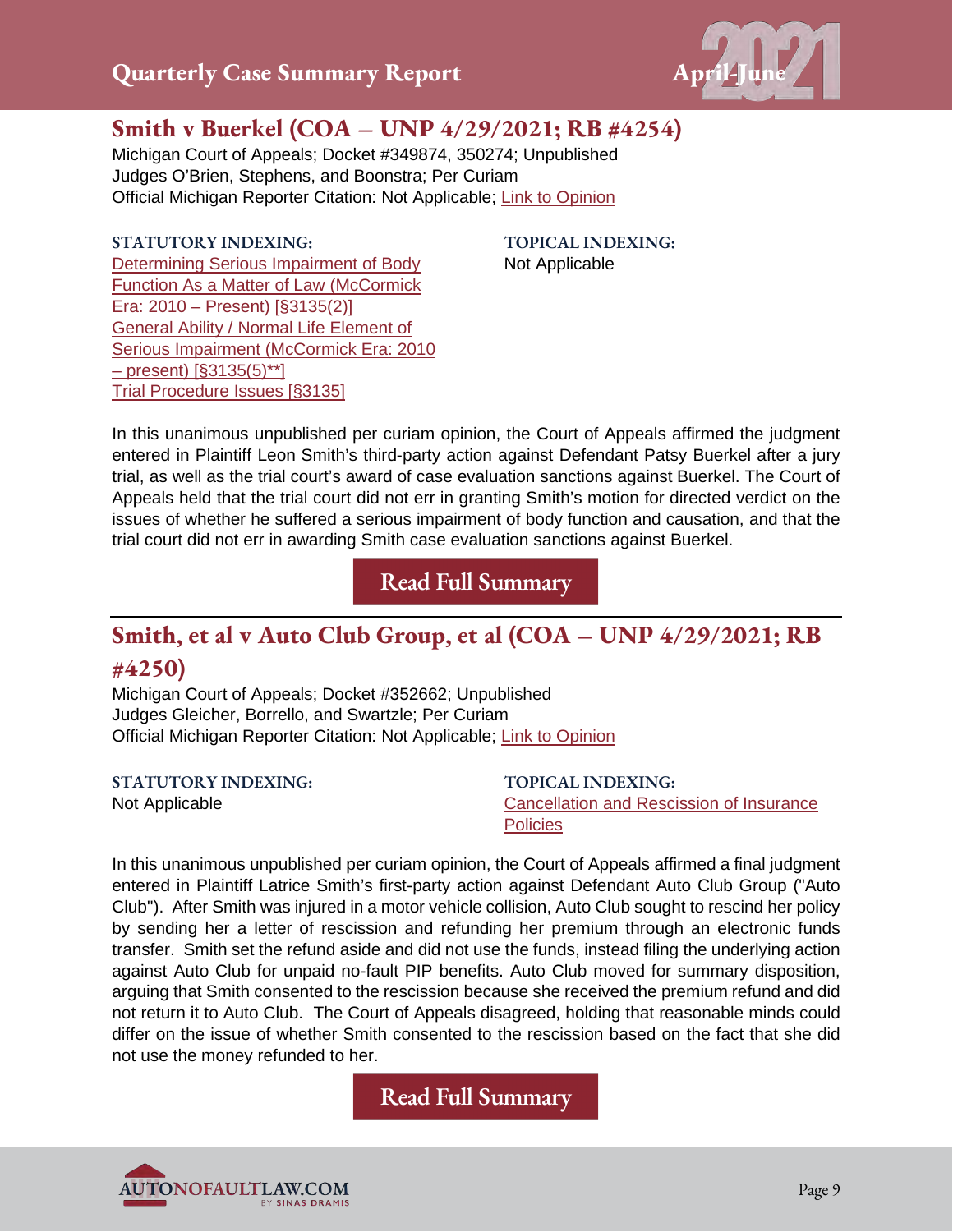

## **Smith v Buerkel (COA – UNP 4/29/2021; RB #4254)**

Michigan Court of Appeals; Docket #349874, 350274; Unpublished Judges O'Brien, Stephens, and Boonstra; Per Curiam Official Michigan Reporter Citation: Not Applicable; [Link to Opinion](https://autonofaultlaw.com/digital-library/images/Smith_v_Buerkel.PDF)

#### **STATUTORY INDEXING:**

**TOPICAL INDEXING:** Not Applicable

[Determining Serious Impairment of Body](https://www.autonofaultlaw.com/digital-library/index.php?option=com_content&view=article&id=912)  [Function As a Matter of Law \(McCormick](https://www.autonofaultlaw.com/digital-library/index.php?option=com_content&view=article&id=912)  [Era: 2010 – Present\) \[§3135\(2\)\]](https://www.autonofaultlaw.com/digital-library/index.php?option=com_content&view=article&id=912) [General Ability / Normal Life](https://www.autonofaultlaw.com/digital-library/index.php?option=com_content&view=article&id=916) Element of [Serious Impairment \(McCormick Era: 2010](https://www.autonofaultlaw.com/digital-library/index.php?option=com_content&view=article&id=916)  [– present\) \[§3135\(5\)\\*\\*\]](https://www.autonofaultlaw.com/digital-library/index.php?option=com_content&view=article&id=916) [Trial Procedure Issues \[§3135\]](https://www.autonofaultlaw.com/digital-library/index.php?option=com_content&view=article&id=160)

In this unanimous unpublished per curiam opinion, the Court of Appeals affirmed the judgment entered in Plaintiff Leon Smith's third-party action against Defendant Patsy Buerkel after a jury trial, as well as the trial court's award of case evaluation sanctions against Buerkel. The Court of Appeals held that the trial court did not err in granting Smith's motion for directed verdict on the issues of whether he suffered a serious impairment of body function and causation, and that the trial court did not err in awarding Smith case evaluation sanctions against Buerkel.

**[Read Full Summary](https://www.autonofaultlaw.com/digital-library/index.php/case-summaries/5226-smith-v-buerkel-4-29-2021-michigan-court-of-appeals)**

## **Smith, et al v Auto Club Group, et al (COA – UNP 4/29/2021; RB #4250)**

Michigan Court of Appeals; Docket #352662; Unpublished Judges Gleicher, Borrello, and Swartzle; Per Curiam Official Michigan Reporter Citation: Not Applicable; [Link to Opinion](https://autonofaultlaw.com/digital-library/images/Smith_et_al_v._Auto_Club_Group_et_al.PDF)

| <b>STATUTORY INDEXING:</b> | <b>TOPICAL INDEXING:</b>                 |
|----------------------------|------------------------------------------|
| Not Applicable             | Cancellation and Rescission of Insurance |
|                            | <b>Policies</b>                          |

In this unanimous unpublished per curiam opinion, the Court of Appeals affirmed a final judgment entered in Plaintiff Latrice Smith's first-party action against Defendant Auto Club Group ("Auto Club"). After Smith was injured in a motor vehicle collision, Auto Club sought to rescind her policy by sending her a letter of rescission and refunding her premium through an electronic funds transfer. Smith set the refund aside and did not use the funds, instead filing the underlying action against Auto Club for unpaid no-fault PIP benefits. Auto Club moved for summary disposition, arguing that Smith consented to the rescission because she received the premium refund and did not return it to Auto Club. The Court of Appeals disagreed, holding that reasonable minds could differ on the issue of whether Smith consented to the rescission based on the fact that she did not use the money refunded to her.

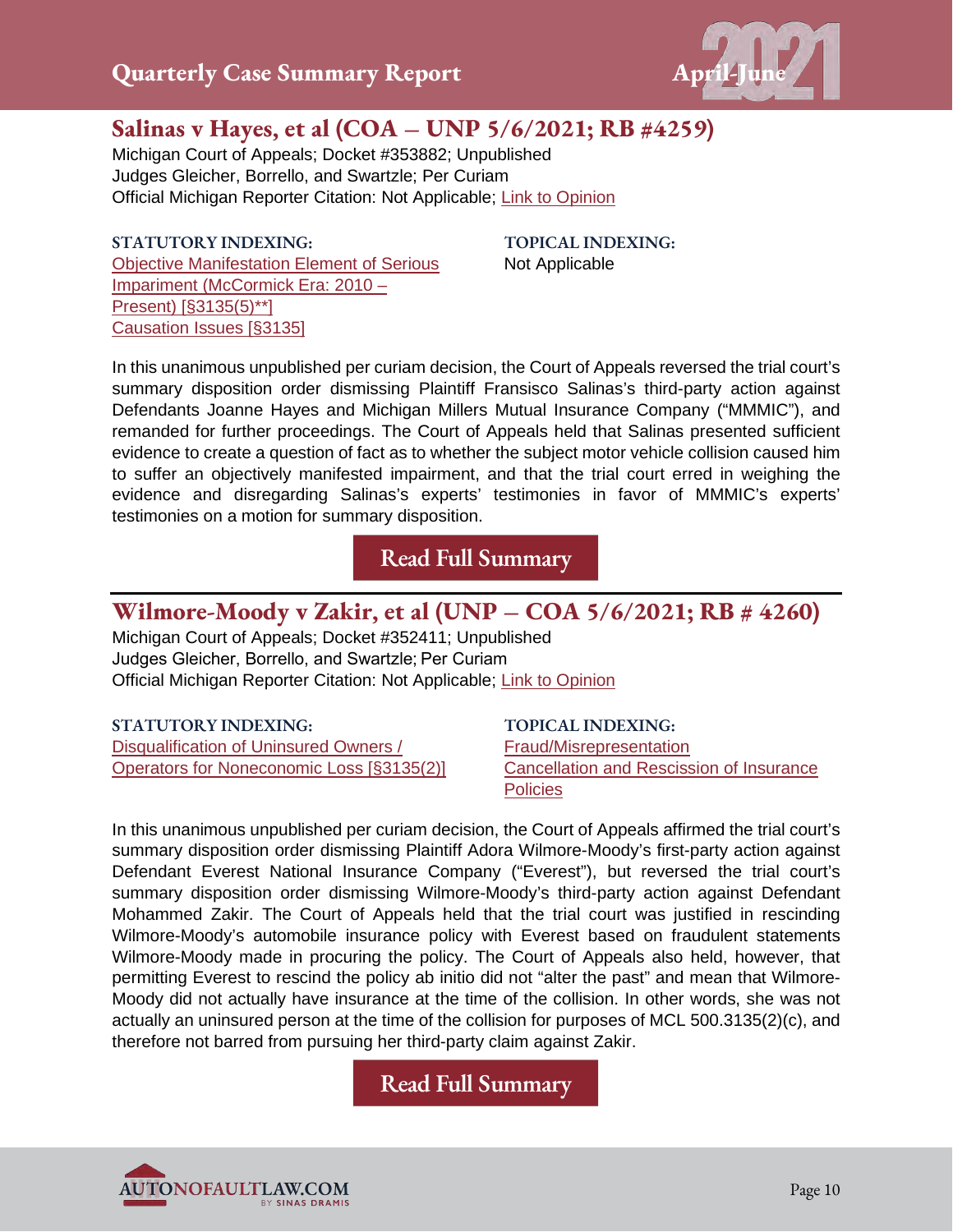

## **Salinas v Hayes, et al (COA – UNP 5/6/2021; RB #4259)**

Michigan Court of Appeals; Docket #353882; Unpublished Judges Gleicher, Borrello, and Swartzle; Per Curiam Official Michigan Reporter Citation: Not Applicable; [Link to Opinion](https://autonofaultlaw.com/digital-library/images/pdf/Opinions-2021/5258_Salinas_v_Hayes_et_al_.PDF)

**STATUTORY INDEXING:** [Objective Manifestation Element of Serious](https://autonofaultlaw.com/digital-library/index.php?option=com_content&view=article&id=924)  [Impariment \(McCormick Era: 2010 –](https://autonofaultlaw.com/digital-library/index.php?option=com_content&view=article&id=924)  [Present\) \[§3135\(5\)\\*\\*\]](https://autonofaultlaw.com/digital-library/index.php?option=com_content&view=article&id=924) [Causation Issues \[§3135\]](https://autonofaultlaw.com/digital-library/index.php?option=com_content&view=article&id=158)

**TOPICAL INDEXING:** Not Applicable

In this unanimous unpublished per curiam decision, the Court of Appeals reversed the trial court's summary disposition order dismissing Plaintiff Fransisco Salinas's third-party action against Defendants Joanne Hayes and Michigan Millers Mutual Insurance Company ("MMMIC"), and remanded for further proceedings. The Court of Appeals held that Salinas presented sufficient evidence to create a question of fact as to whether the subject motor vehicle collision caused him to suffer an objectively manifested impairment, and that the trial court erred in weighing the evidence and disregarding Salinas's experts' testimonies in favor of MMMIC's experts' testimonies on a motion for summary disposition.

**[Read Full Summary](https://www.autonofaultlaw.com/digital-library/index.php/case-summaries/5258-salinas-v-hayes-et-al-michigan-court-of-appeals)**

#### **Wilmore-Moody v Zakir, et al (UNP – COA 5/6/2021; RB # 4260)**

Michigan Court of Appeals; Docket #352411; Unpublished Judges Gleicher, Borrello, and Swartzle; Per Curiam Official Michigan Reporter Citation: Not Applicable; [Link to Opinion](https://autonofaultlaw.com/digital-library/images/pdf/Opinions-2021/5256_Wilmore-Moody_v_Zakir_et_al_1.PDF)

| <b>STATUTORY INDEXING:</b>                | <b>TOPICAL INDEXING:</b>                 |
|-------------------------------------------|------------------------------------------|
| Disqualification of Uninsured Owners /    | Fraud/Misrepresentation                  |
| Operators for Noneconomic Loss [§3135(2)] | Cancellation and Rescission of Insurance |
|                                           | <b>Policies</b>                          |

In this unanimous unpublished per curiam decision, the Court of Appeals affirmed the trial court's summary disposition order dismissing Plaintiff Adora Wilmore-Moody's first-party action against Defendant Everest National Insurance Company ("Everest"), but reversed the trial court's summary disposition order dismissing Wilmore-Moody's third-party action against Defendant Mohammed Zakir. The Court of Appeals held that the trial court was justified in rescinding Wilmore-Moody's automobile insurance policy with Everest based on fraudulent statements Wilmore-Moody made in procuring the policy. The Court of Appeals also held, however, that permitting Everest to rescind the policy ab initio did not "alter the past" and mean that Wilmore-Moody did not actually have insurance at the time of the collision. In other words, she was not actually an uninsured person at the time of the collision for purposes of MCL 500.3135(2)(c), and therefore not barred from pursuing her third-party claim against Zakir.

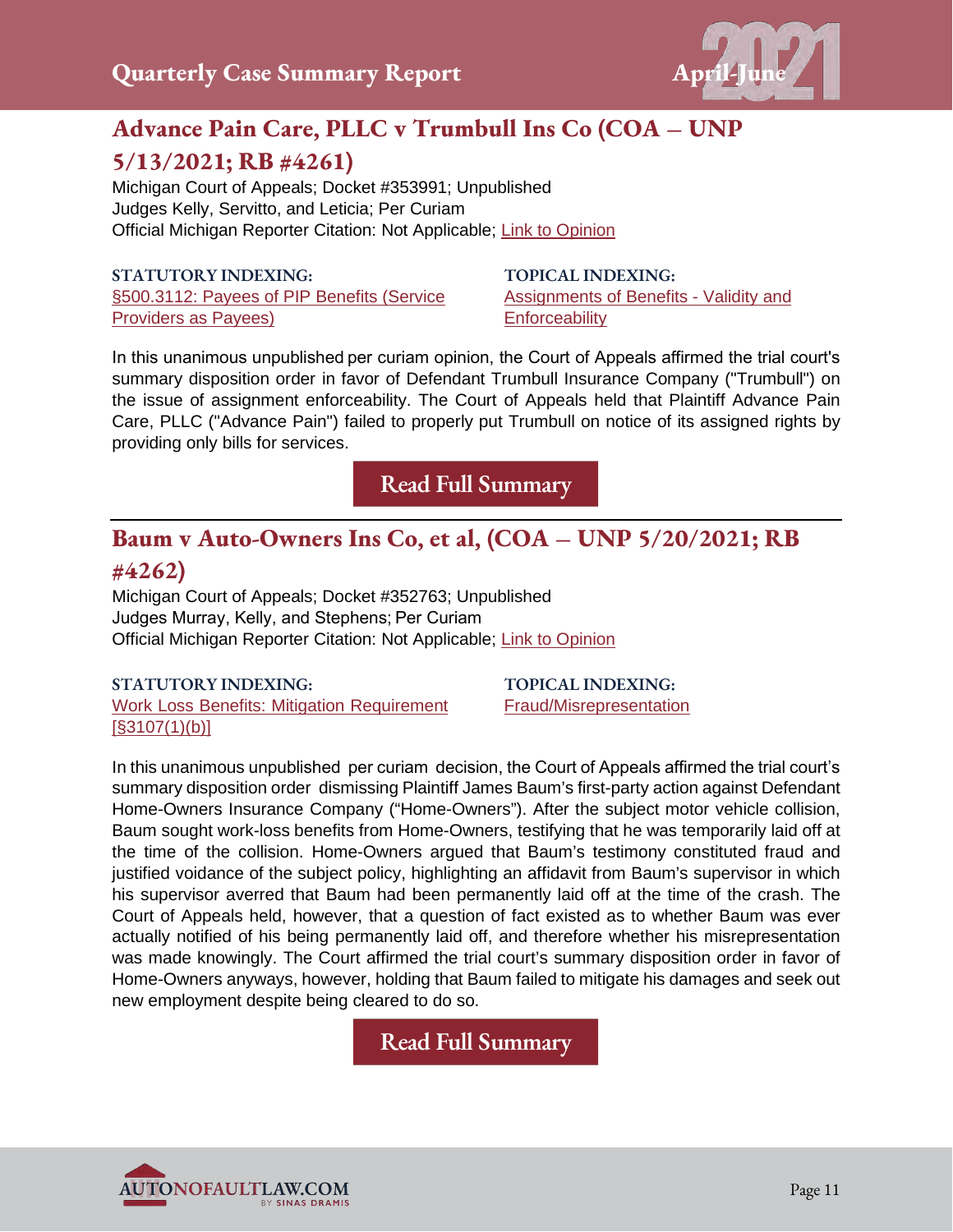

## **Advance Pain Care, PLLC v Trumbull Ins Co (COA – UNP 5/13/2021; RB #4261)**

Michigan Court of Appeals; Docket #353991; Unpublished Judges Kelly, Servitto, and Leticia; Per Curiam Official Michigan Reporter Citation: Not Applicable; [Link to Opinion](https://autonofaultlaw.com/digital-library/images/pdf/Opinions-2021/4261-Advance_Pain_Care_PLLC_v_Trumbull_Ins_Co.PDF)

#### **STATUTORY INDEXING:**

[§500.3112: Payees of PIP Benefits \(Service](https://www.autonofaultlaw.com/digital-library/index.php?option=com_content&view=article&id=250)  [Providers as Payees\)](https://www.autonofaultlaw.com/digital-library/index.php?option=com_content&view=article&id=250)

**TOPICAL INDEXING:**  [Assignments of Benefits - Validity and](https://autonofaultlaw.com/digital-library/index.php?option=com_content&view=article&id=4863)  **[Enforceability](https://autonofaultlaw.com/digital-library/index.php?option=com_content&view=article&id=4863)** 

In this unanimous unpublished per curiam opinion, the Court of Appeals affirmed the trial court's summary disposition order in favor of Defendant Trumbull Insurance Company ("Trumbull") on the issue of assignment enforceability. The Court of Appeals held that Plaintiff Advance Pain Care, PLLC ("Advance Pain") failed to properly put Trumbull on notice of its assigned rights by providing only bills for services.

**[Read Full Summary](https://www.autonofaultlaw.com/digital-library/index.php/case-summaries/5227-advance-pain-care-pllc-v-trumbull-ins-co-5-13-2021-michigan-court-of-appeals)**

## **Baum v Auto-Owners Ins Co, et al, (COA – UNP 5/20/2021; RB**

#### **#4262)**

Michigan Court of Appeals; Docket #352763; Unpublished Judges Murray, Kelly, and Stephens; Per Curiam Official Michigan Reporter Citation: Not Applicable; [Link to Opinion](https://autonofaultlaw.com/digital-library/images/pdf/Opinions-2021/5230-baum-v-auto-owners-ins-co-et-al.PDF)

#### **STATUTORY INDEXING:**

[Work Loss Benefits: Mitigation Requirement](https://www.autonofaultlaw.com/digital-library/index.php?option=com_content&view=article&id=137)  [\[§3107\(1\)\(b\)\]](https://www.autonofaultlaw.com/digital-library/index.php?option=com_content&view=article&id=137)

**TOPICAL INDEXING:**  [Fraud/Misrepresentation](https://www.autonofaultlaw.com/digital-library/index.php?option=com_content&view=article&id=1869)

In this unanimous unpublished  per curiam  decision, the Court of Appeals affirmed the trial court's summary disposition order dismissing Plaintiff James Baum's first-party action against Defendant Home-Owners Insurance Company ("Home-Owners"). After the subject motor vehicle collision, Baum sought work-loss benefits from Home-Owners, testifying that he was temporarily laid off at the time of the collision. Home-Owners argued that Baum's testimony constituted fraud and justified voidance of the subject policy, highlighting an affidavit from Baum's supervisor in which his supervisor averred that Baum had been permanently laid off at the time of the crash. The Court of Appeals held, however, that a question of fact existed as to whether Baum was ever actually notified of his being permanently laid off, and therefore whether his misrepresentation was made knowingly. The Court affirmed the trial court's summary disposition order in favor of Home-Owners anyways, however, holding that Baum failed to mitigate his damages and seek out new employment despite being cleared to do so.

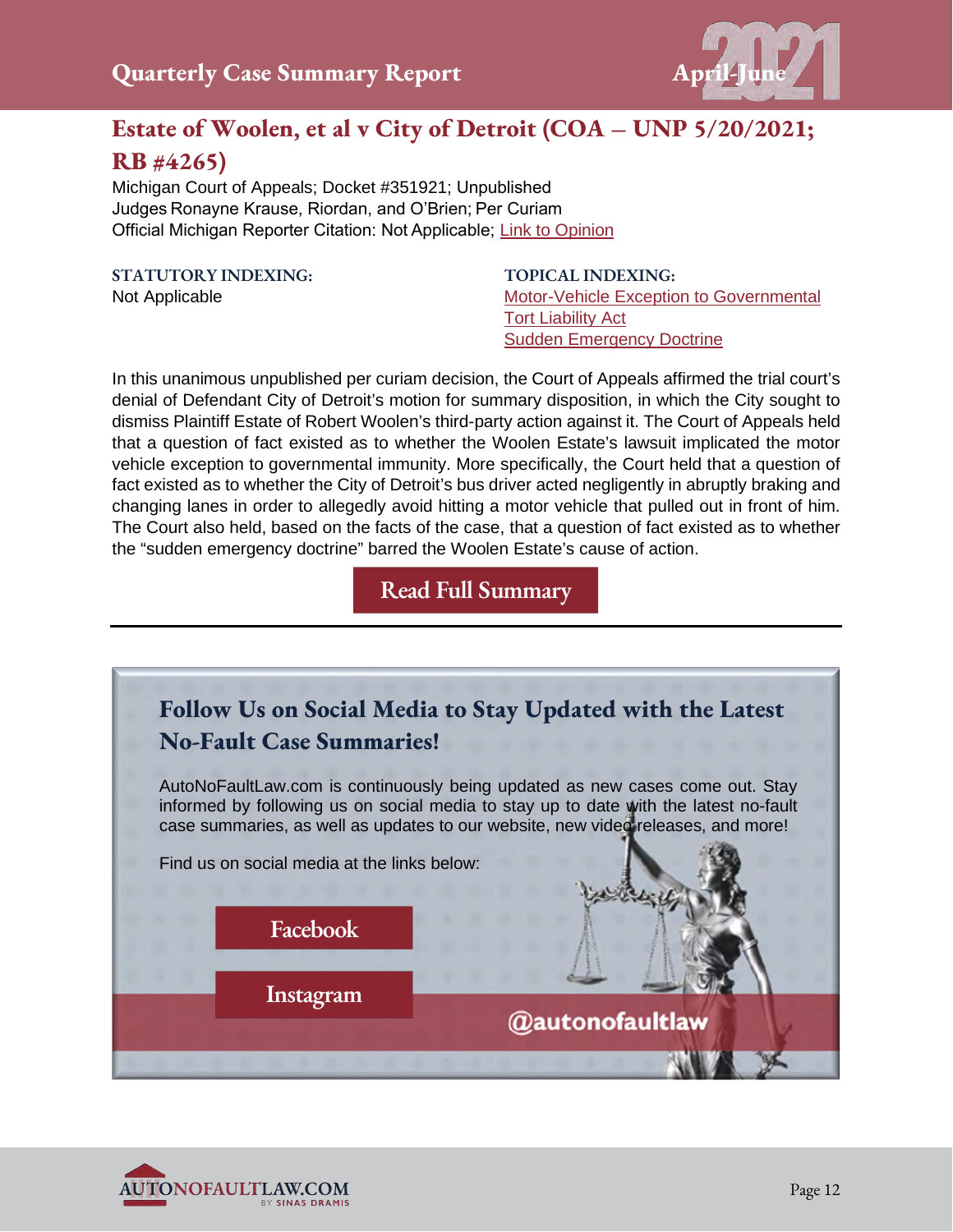

## **Estate of Woolen, et al v City of Detroit (COA – UNP 5/20/2021; RB #4265)**

Michigan Court of Appeals; Docket #351921; Unpublished  Judges Ronayne Krause, Riordan, and O'Brien; Per Curiam  Official Michigan Reporter Citation: Not Applicable; [Link to Opinion](https://autonofaultlaw.com/digital-library/images/pdf/Opinions-2021/5235_Estate_of_Woolen_et_al_v_City_of_Detroit_et_al.PDF)

**STATUTORY INDEXING:**  Not Applicable

**TOPICAL INDEXING:**  [Motor-Vehicle Exception to Governmental](https://autonofaultlaw.com/digital-library/autonofaultlaw.com/digital-library/index.php?option=com_content&view=article&id=4860)  [Tort Liability Act](https://autonofaultlaw.com/digital-library/autonofaultlaw.com/digital-library/index.php?option=com_content&view=article&id=4860) [Sudden Emergency Doctrine](https://autonofaultlaw.com/digital-library/autonofaultlaw.com/digital-library/4991-ti-ti-sudden-emergency-doctrine)

In this unanimous unpublished per curiam decision, the Court of Appeals affirmed the trial court's denial of Defendant City of Detroit's motion for summary disposition, in which the City sought to dismiss Plaintiff Estate of Robert Woolen's third-party action against it. The Court of Appeals held that a question of fact existed as to whether the Woolen Estate's lawsuit implicated the motor vehicle exception to governmental immunity. More specifically, the Court held that a question of fact existed as to whether the City of Detroit's bus driver acted negligently in abruptly braking and changing lanes in order to allegedly avoid hitting a motor vehicle that pulled out in front of him. The Court also held, based on the facts of the case, that a question of fact existed as to whether the "sudden emergency doctrine" barred the Woolen Estate's cause of action.



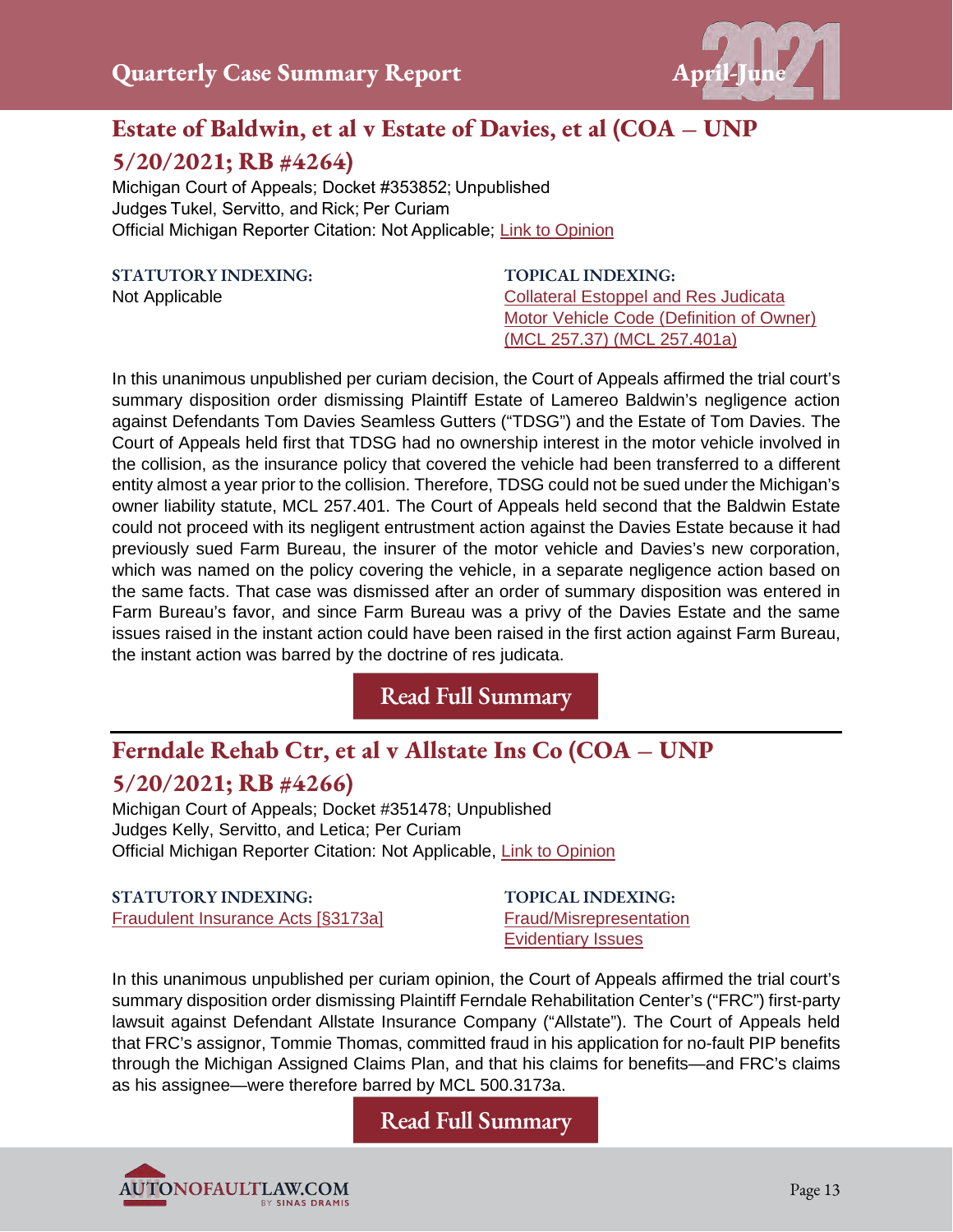

## **Estate of Baldwin, et al v Estate of Davies, et al (COA – UNP 5/20/2021; RB #4264)**

Michigan Court of Appeals; Docket #353852; Unpublished  Judges Tukel, Servitto, and Rick; Per Curiam Official Michigan Reporter Citation: Not Applicable; [Link to Opinion](https://autonofaultlaw.com/digital-library/images/pdf/Estate_of_Baldwin_et_al_v_Estate_of_Davies_et_al.PDF)

**STATUTORY INDEXING:**

Not Applicable

**TOPICAL INDEXING:** [Collateral Estoppel and Res Judicata](https://autonofaultlaw.com/digital-library/index.php?option=com_content&view=article&id=859) [Motor Vehicle Code \(Definition of Owner\)](https://autonofaultlaw.com/digital-library/index.php?option=com_content&view=article&id=882)  [\(MCL 257.37\) \(MCL 257.401a\)](https://autonofaultlaw.com/digital-library/index.php?option=com_content&view=article&id=882)

In this unanimous unpublished per curiam decision, the Court of Appeals affirmed the trial court's summary disposition order dismissing Plaintiff Estate of Lamereo Baldwin's negligence action against Defendants Tom Davies Seamless Gutters ("TDSG") and the Estate of Tom Davies. The Court of Appeals held first that TDSG had no ownership interest in the motor vehicle involved in the collision, as the insurance policy that covered the vehicle had been transferred to a different entity almost a year prior to the collision. Therefore, TDSG could not be sued under the Michigan's owner liability statute, MCL 257.401. The Court of Appeals held second that the Baldwin Estate could not proceed with its negligent entrustment action against the Davies Estate because it had previously sued Farm Bureau, the insurer of the motor vehicle and Davies's new corporation, which was named on the policy covering the vehicle, in a separate negligence action based on the same facts. That case was dismissed after an order of summary disposition was entered in Farm Bureau's favor, and since Farm Bureau was a privy of the Davies Estate and the same issues raised in the instant action could have been raised in the first action against Farm Bureau, the instant action was barred by the doctrine of res judicata.

**[Read Full Summary](https://www.autonofaultlaw.com/digital-library/index.php/case-summaries/5233-estate-of-baldwin-et-al-v-estate-of-davies-et-al-michigan-court-of-appeals)**

## **Ferndale Rehab Ctr, et al v Allstate Ins Co (COA – UNP**

#### **5/20/2021; RB #4266)**

Michigan Court of Appeals; Docket #351478; Unpublished Judges Kelly, Servitto, and Letica; Per Curiam Official Michigan Reporter Citation: Not Applicable, [Link to Opinion](https://autonofaultlaw.com/digital-library/images/pdf/Opinions-2021/5234-ferndale-rehab-ctr-et-al-v-allstate-ins-co-5-20-2021-michigan-court-of-appeals.PDF)

#### **STATUTORY INDEXING:**  [Fraudulent Insurance Acts \[§3173a\]](https://autonofaultlaw.com/digital-library/index.php?option=com_content&view=article&id=5204)

**TOPICAL INDEXING:** [Fraud/Misrepresentation](https://autonofaultlaw.com/digital-library/index.php?option=com_content&view=article&id=1869)  [Evidentiary Issues](https://www.autonofaultlaw.com/digital-library/index.php?option=com_content&view=article&id=1630)

In this unanimous unpublished per curiam opinion, the Court of Appeals affirmed the trial court's summary disposition order dismissing Plaintiff Ferndale Rehabilitation Center's ("FRC") first-party lawsuit against Defendant Allstate Insurance Company ("Allstate"). The Court of Appeals held that FRC's assignor, Tommie Thomas, committed fraud in his application for no-fault PIP benefits through the Michigan Assigned Claims Plan, and that his claims for benefits—and FRC's claims as his assignee—were therefore barred by MCL 500.3173a.

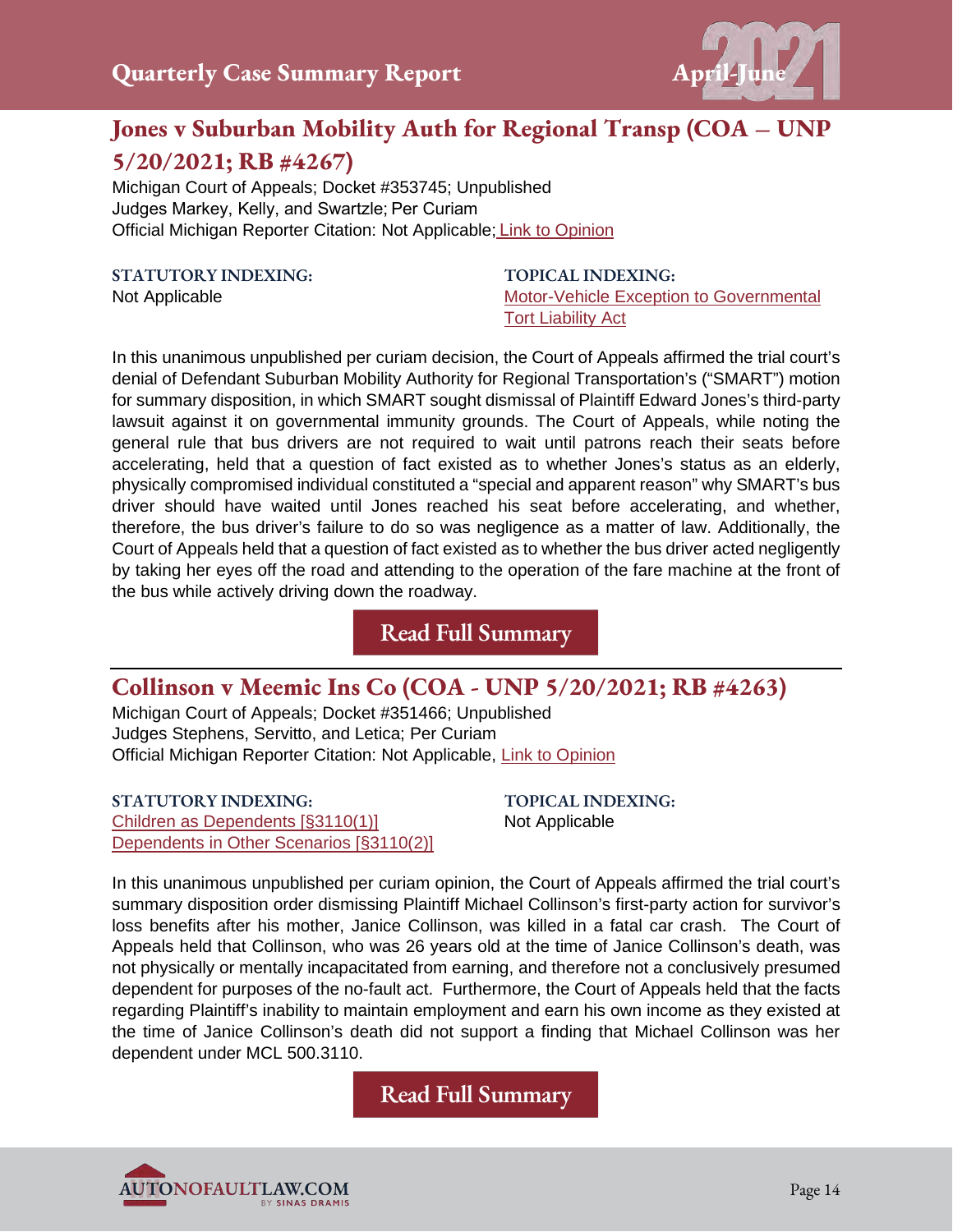

## **Jones v Suburban Mobility Auth for Regional Transp (COA – UNP 5/20/2021; RB #4267)**

Michigan Court of Appeals; Docket #353745; Unpublished Judges Markey, Kelly, and Swartzle; Per Curiam Official Michigan Reporter Citation: Not Applicable; Link to [Opinion](https://autonofaultlaw.com/digital-library/images/pdf/Opinions-2021/5235-jones-v-suburban-mobility-auth-for-regional-transp-5-20-2021-michigan-court-of-appeals.PDF)

**STATUTORY INDEXING:** 

Not Applicable

**TOPICAL INDEXING:**  [Motor-Vehicle Exception to Governmental](https://www.autonofaultlaw.com/digital-library/index.php?option=com_content&view=article&id=4860)  [Tort Liability Act](https://www.autonofaultlaw.com/digital-library/index.php?option=com_content&view=article&id=4860) 

In this unanimous unpublished per curiam decision, the Court of Appeals affirmed the trial court's denial of Defendant Suburban Mobility Authority for Regional Transportation's ("SMART") motion for summary disposition, in which SMART sought dismissal of Plaintiff Edward Jones's third-party lawsuit against it on governmental immunity grounds. The Court of Appeals, while noting the general rule that bus drivers are not required to wait until patrons reach their seats before accelerating, held that a question of fact existed as to whether Jones's status as an elderly, physically compromised individual constituted a "special and apparent reason" why SMART's bus driver should have waited until Jones reached his seat before accelerating, and whether, therefore, the bus driver's failure to do so was negligence as a matter of law. Additionally, the Court of Appeals held that a question of fact existed as to whether the bus driver acted negligently by taking her eyes off the road and attending to the operation of the fare machine at the front of the bus while actively driving down the roadway.

**[Read Full Summary](https://www.autonofaultlaw.com/digital-library/index.php/case-summaries/5235-5235-jones-v-suburban-mobility-auth-for-regional-transp-5-20-2021-michigan-court-of-appeals)**

## **Collinson v Meemic Ins Co (COA - UNP 5/20/2021; RB #4263)**

Michigan Court of Appeals; Docket #351466; Unpublished Judges Stephens, Servitto, and Letica; Per Curiam Official Michigan Reporter Citation: Not Applicable, [Link to Opinion](https://autonofaultlaw.com/digital-library/images/pdf/Opinions-2021/5231collinson-v-meemic-ins-co-5-20-2021-michigan-court-of-appeals.PDF)

**STATUTORY INDEXING:** [Children as Dependents \[§3110\(1\)\]](https://autonofaultlaw.com/digital-library/index.php?option=com_content&view=article&id=242) [Dependents in Other Scenarios \[§3110\(2\)\]](https://www.autonofaultlaw.com/digital-library/index.php?option=com_content&view=article&id=243) **TOPICAL INDEXING:** Not Applicable

In this unanimous unpublished per curiam opinion, the Court of Appeals affirmed the trial court's summary disposition order dismissing Plaintiff Michael Collinson's first-party action for survivor's loss benefits after his mother, Janice Collinson, was killed in a fatal car crash. The Court of Appeals held that Collinson, who was 26 years old at the time of Janice Collinson's death, was not physically or mentally incapacitated from earning, and therefore not a conclusively presumed dependent for purposes of the no-fault act. Furthermore, the Court of Appeals held that the facts regarding Plaintiff's inability to maintain employment and earn his own income as they existed at the time of Janice Collinson's death did not support a finding that Michael Collinson was her dependent under MCL 500.3110.

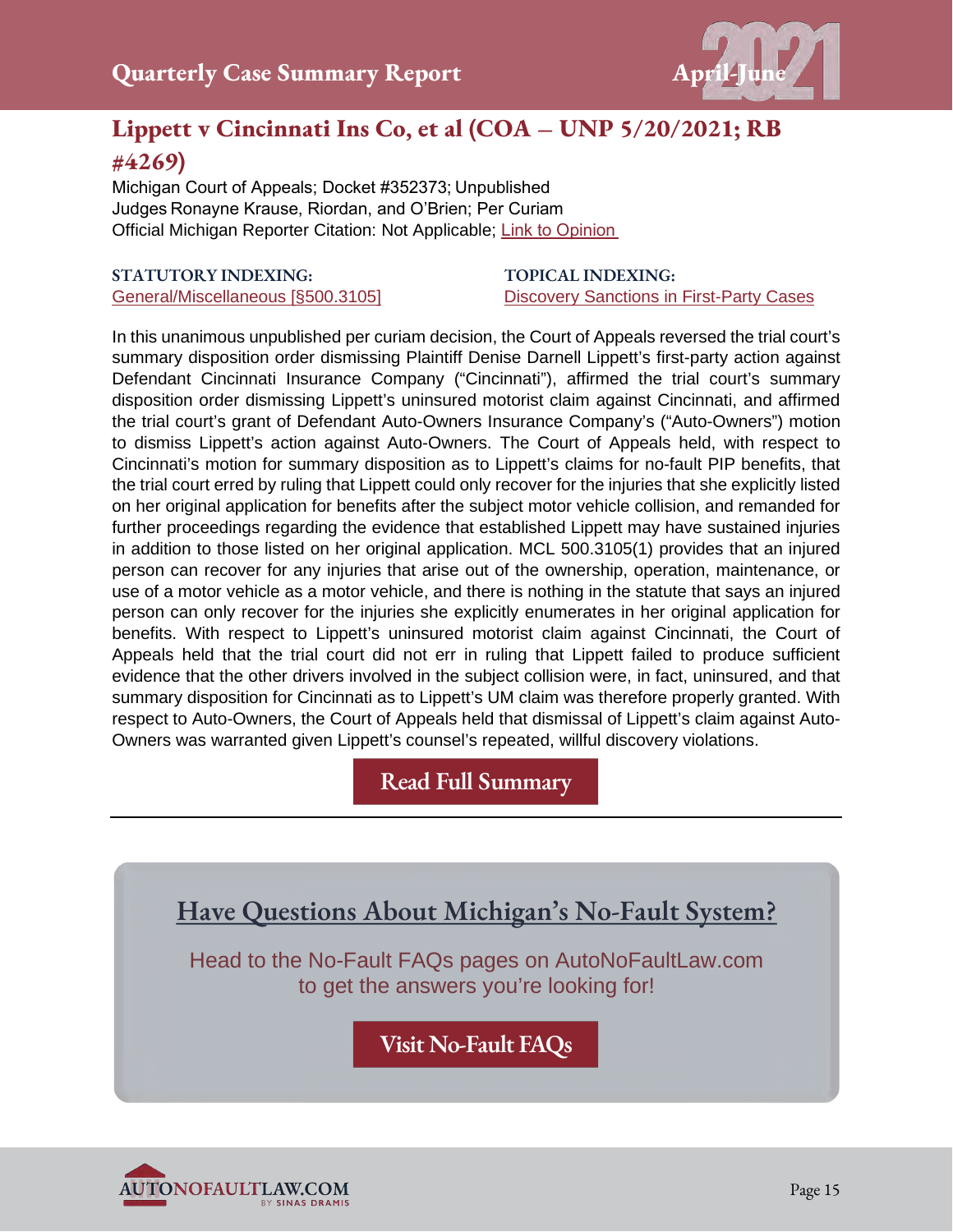

## **Lippett v Cincinnati Ins Co, et al (COA – UNP 5/20/2021; RB #4269)**

Michigan Court of Appeals; Docket #352373; Unpublished  Judges Ronayne Krause, Riordan, and O'Brien; Per Curiam  Official Michigan Reporter Citation: Not Applicable; [Link to Opinion](https://autonofaultlaw.com/digital-library/images/pdf/Opinions-2021/5239_Lippett_et_al_v_Cincinnati_Ins_Co_et_al.PDF)

#### **STATUTORY INDEXING:**  [General/Miscellaneous \[§500.3105\]](https://autonofaultlaw.com/digital-library/index.php?option=com_content&view=article&id=183)

#### **TOPICAL INDEXING:**  [Discovery Sanctions in First-Party Cases](https://www.autonofaultlaw.com/digital-library/4964-ti-discovery-sanctions-in-first-party-cases)

In this unanimous unpublished per curiam decision, the Court of Appeals reversed the trial court's summary disposition order dismissing Plaintiff Denise Darnell Lippett's first-party action against Defendant Cincinnati Insurance Company ("Cincinnati"), affirmed the trial court's summary disposition order dismissing Lippett's uninsured motorist claim against Cincinnati, and affirmed the trial court's grant of Defendant Auto-Owners Insurance Company's ("Auto-Owners") motion to dismiss Lippett's action against Auto-Owners. The Court of Appeals held, with respect to Cincinnati's motion for summary disposition as to Lippett's claims for no-fault PIP benefits, that the trial court erred by ruling that Lippett could only recover for the injuries that she explicitly listed on her original application for benefits after the subject motor vehicle collision, and remanded for further proceedings regarding the evidence that established Lippett may have sustained injuries in addition to those listed on her original application. MCL 500.3105(1) provides that an injured person can recover for any injuries that arise out of the ownership, operation, maintenance, or use of a motor vehicle as a motor vehicle, and there is nothing in the statute that says an injured person can only recover for the injuries she explicitly enumerates in her original application for benefits. With respect to Lippett's uninsured motorist claim against Cincinnati, the Court of Appeals held that the trial court did not err in ruling that Lippett failed to produce sufficient evidence that the other drivers involved in the subject collision were, in fact, uninsured, and that summary disposition for Cincinnati as to Lippett's UM claim was therefore properly granted. With respect to Auto-Owners, the Court of Appeals held that dismissal of Lippett's claim against Auto-Owners was warranted given Lippett's counsel's repeated, willful discovery violations.

**[Read Full Summary](https://autonofaultlaw.com/digital-library/index.php/case-summaries/5239-lippett-v-cincinnati-ins-co-et-al-michigan-court-of-appeals)**

**Have Questions About Michigan's No-Fault System?** 

Head to the No-Fault FAQs pages on AutoNoFaultLaw.com to get the answers you're looking for!

**[Visit No-Fault FAQs](https://autonofaultlaw.com/michigan-no-fault/)**

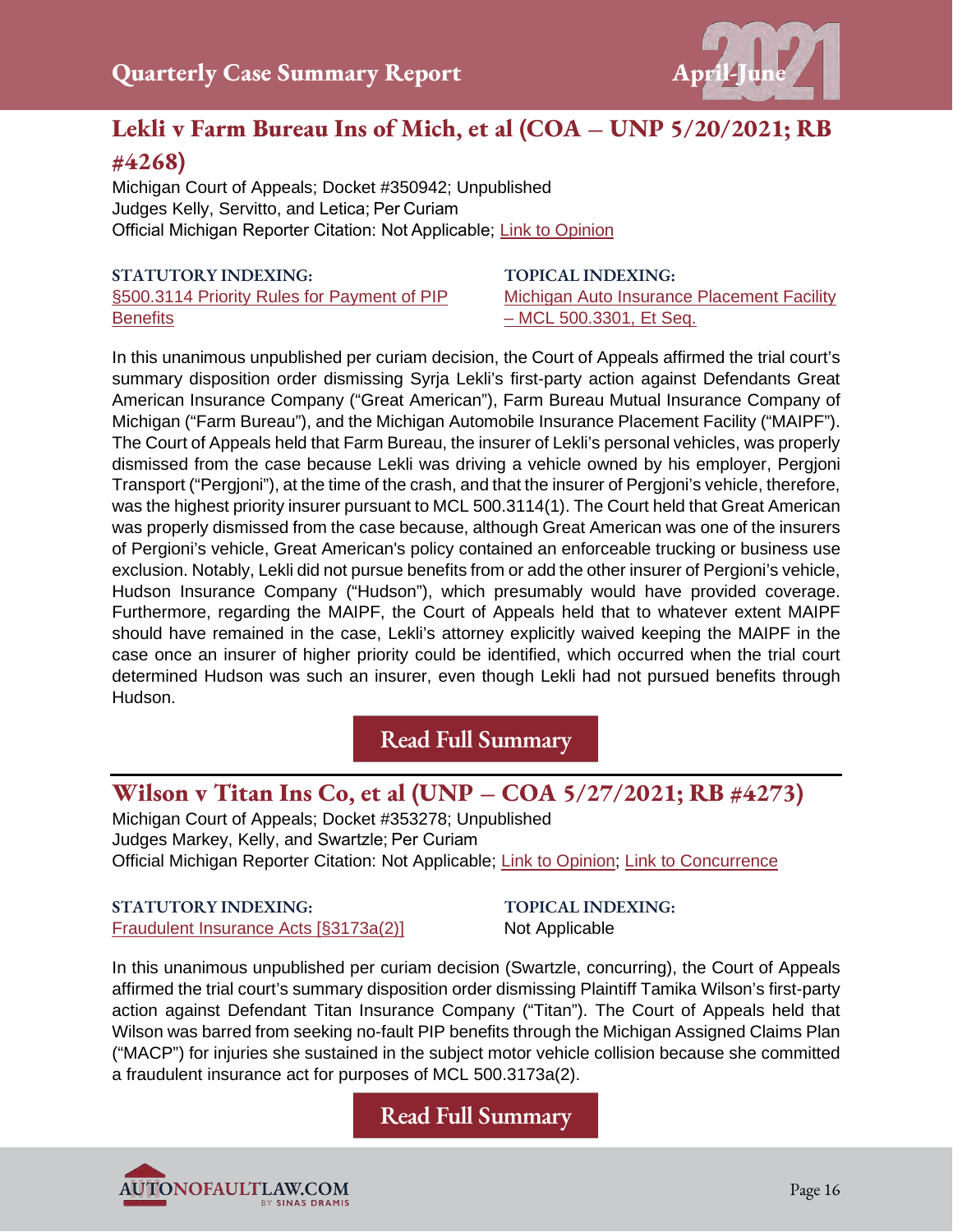

## **Lekli v Farm Bureau Ins of Mich, et al (COA – UNP 5/20/2021; RB**

#### **#4268)**

Michigan Court of Appeals; Docket #350942; Unpublished Judges Kelly, Servitto, and Letica; Per Curiam Official Michigan Reporter Citation: Not Applicable; [Link to Opinion](https://autonofaultlaw.com/digital-library/images/pdf/Opinions-2021/5237-Lekli_v_Farm_Bureau_Ins_of_Mich_et_al.PDF)

#### **STATUTORY INDEXING:**

[§500.3114 Priority Rules for Payment of PIP](https://autonofaultlaw.com/digital-library/index.php?option=com_content&view=article&id=103)  **[Benefits](https://autonofaultlaw.com/digital-library/index.php?option=com_content&view=article&id=103)** 

**TOPICAL INDEXING:** [Michigan Auto Insurance Placement Facility](https://autonofaultlaw.com/digital-library/index.php?option=com_content&view=article&id=879)  [– MCL 500.3301, Et Seq.](https://autonofaultlaw.com/digital-library/index.php?option=com_content&view=article&id=879)

In this unanimous unpublished per curiam decision, the Court of Appeals affirmed the trial court's summary disposition order dismissing Syrja Lekli's first-party action against Defendants Great American Insurance Company ("Great American"), Farm Bureau Mutual Insurance Company of Michigan ("Farm Bureau"), and the Michigan Automobile Insurance Placement Facility ("MAIPF"). The Court of Appeals held that Farm Bureau, the insurer of Lekli's personal vehicles, was properly dismissed from the case because Lekli was driving a vehicle owned by his employer, Pergjoni Transport ("Pergjoni"), at the time of the crash, and that the insurer of Pergjoni's vehicle, therefore, was the highest priority insurer pursuant to MCL 500.3114(1). The Court held that Great American was properly dismissed from the case because, although Great American was one of the insurers of Pergioni's vehicle, Great American's policy contained an enforceable trucking or business use exclusion. Notably, Lekli did not pursue benefits from or add the other insurer of Pergioni's vehicle, Hudson Insurance Company ("Hudson"), which presumably would have provided coverage. Furthermore, regarding the MAIPF, the Court of Appeals held that to whatever extent MAIPF should have remained in the case, Lekli's attorney explicitly waived keeping the MAIPF in the case once an insurer of higher priority could be identified, which occurred when the trial court determined Hudson was such an insurer, even though Lekli had not pursued benefits through Hudson.

**[Read Full Summary](https://www.autonofaultlaw.com/digital-library/index.php/case-summaries/5237-5237-lekli-v-farm-bureau-ins-of-mich-et-al-5-20-2021-rb-4268-michigan-court-of-appeals)**

## **Wilson v Titan Ins Co, et al (UNP – COA 5/27/2021; RB #4273)**

Michigan Court of Appeals; Docket #353278; Unpublished Judges Markey, Kelly, and Swartzle; Per Curiam Official Michigan Reporter Citation: Not Applicable; [Link to Opinion;](https://autonofaultlaw.com/digital-library/images/pdf/Opinions-2021/5253_Wilson_v_Titan_Ins_Co_et_al.PDF) [Link to Concurrence](https://autonofaultlaw.com/digital-library/images/pdf/Opinions-2021/5253_Wilson_v_Titan_Ins_Co_et_al_concurrence.PDF)

**STATUTORY INDEXING:** [Fraudulent Insurance Acts \[§3173a\(2\)\]](https://autonofaultlaw.com/digital-library/index.php?option=com_content&view=article&id=5204) **TOPICAL INDEXING:** Not Applicable

In this unanimous unpublished per curiam decision (Swartzle, concurring), the Court of Appeals affirmed the trial court's summary disposition order dismissing Plaintiff Tamika Wilson's first-party action against Defendant Titan Insurance Company ("Titan"). The Court of Appeals held that Wilson was barred from seeking no-fault PIP benefits through the Michigan Assigned Claims Plan ("MACP") for injuries she sustained in the subject motor vehicle collision because she committed a fraudulent insurance act for purposes of MCL 500.3173a(2).

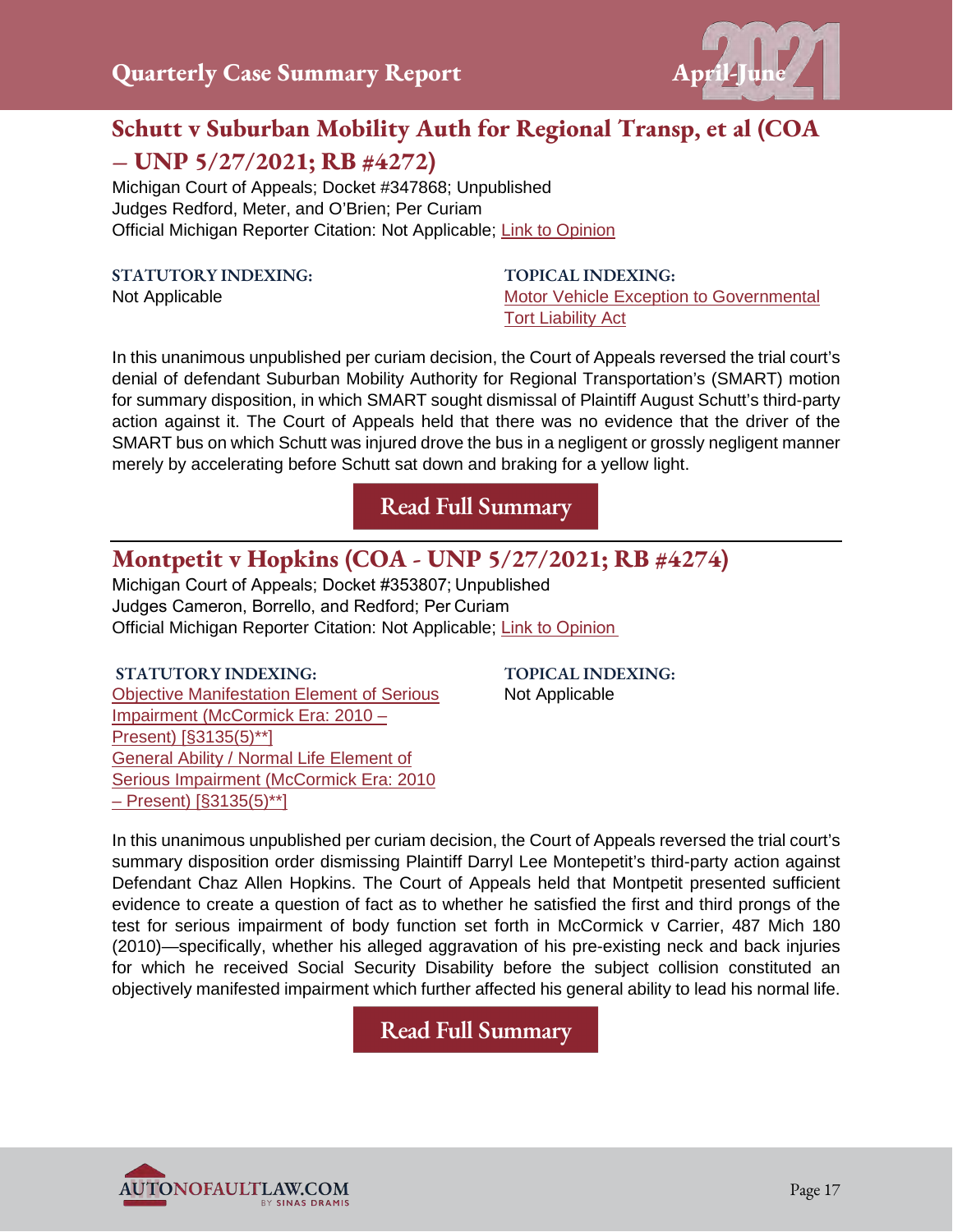

## **Schutt v Suburban Mobility Auth for Regional Transp, et al (COA – UNP 5/27/2021; RB #4272)**

Michigan Court of Appeals; Docket #347868; Unpublished Judges Redford, Meter, and O'Brien; Per Curiam Official Michigan Reporter Citation: Not Applicable; [Link to Opinion](https://autonofaultlaw.com/digital-library/images/pdf/Opinions-2021/5257_Schutt_v_Suburban_Mobility_Auth_for_Regional_Transp_et_al.PDF)

#### **STATUTORY INDEXING:**

Not Applicable

**TOPICAL INDEXING:** [Motor Vehicle Exception to Governmental](https://www.autonofaultlaw.com/digital-library/index.php?option=com_content&view=article&id=4860)  [Tort Liability Act](https://www.autonofaultlaw.com/digital-library/index.php?option=com_content&view=article&id=4860)

In this unanimous unpublished per curiam decision, the Court of Appeals reversed the trial court's denial of defendant Suburban Mobility Authority for Regional Transportation's (SMART) motion for summary disposition, in which SMART sought dismissal of Plaintiff August Schutt's third-party action against it. The Court of Appeals held that there was no evidence that the driver of the SMART bus on which Schutt was injured drove the bus in a negligent or grossly negligent manner merely by accelerating before Schutt sat down and braking for a yellow light.

**[Read Full Summary](https://www.autonofaultlaw.com/digital-library/index.php/case-summaries/5257-schutt-v-suburban-mobility-authority-for-regional-transportation-et-al-coa-unp-8-20-2020-rb-4129)**

## **Montpetit v Hopkins (COA - UNP 5/27/2021; RB #4274)**

Michigan Court of Appeals; Docket #353807; Unpublished Judges Cameron, Borrello, and Redford; Per Curiam  Official Michigan Reporter Citation: Not Applicable; [Link to Opinion](https://autonofaultlaw.com/digital-library/images/pdf/Opinions-2021/5236_Montpetit_v_Hopkins_michigan_court_of_appeals.PDF)

#### **STATUTORY INDEXING:**

[Objective Manifestation Element of Serious](https://autonofaultlaw.com/digital-library/index.php?option=com_content&view=article&id=924)  [Impairment \(McCormick Era: 2010 –](https://autonofaultlaw.com/digital-library/index.php?option=com_content&view=article&id=924)  [Present\) \[§3135\(5\)\\*\\*\]](https://autonofaultlaw.com/digital-library/index.php?option=com_content&view=article&id=924)  [General Ability / Normal Life Element of](https://autonofaultlaw.com/digital-library/index.php?option=com_content&view=article&id=916)  [Serious Impairment \(McCormick Era: 2010](https://autonofaultlaw.com/digital-library/index.php?option=com_content&view=article&id=916)  [– Present\) \[§3135\(5\)\\*\\*\]](https://autonofaultlaw.com/digital-library/index.php?option=com_content&view=article&id=916)

**TOPICAL INDEXING:** Not Applicable

In this unanimous unpublished per curiam decision, the Court of Appeals reversed the trial court's summary disposition order dismissing Plaintiff Darryl Lee Montepetit's third-party action against Defendant Chaz Allen Hopkins. The Court of Appeals held that Montpetit presented sufficient evidence to create a question of fact as to whether he satisfied the first and third prongs of the test for serious impairment of body function set forth in McCormick v Carrier, 487 Mich 180 (2010)—specifically, whether his alleged aggravation of his pre-existing neck and back injuries for which he received Social Security Disability before the subject collision constituted an objectively manifested impairment which further affected his general ability to lead his normal life.

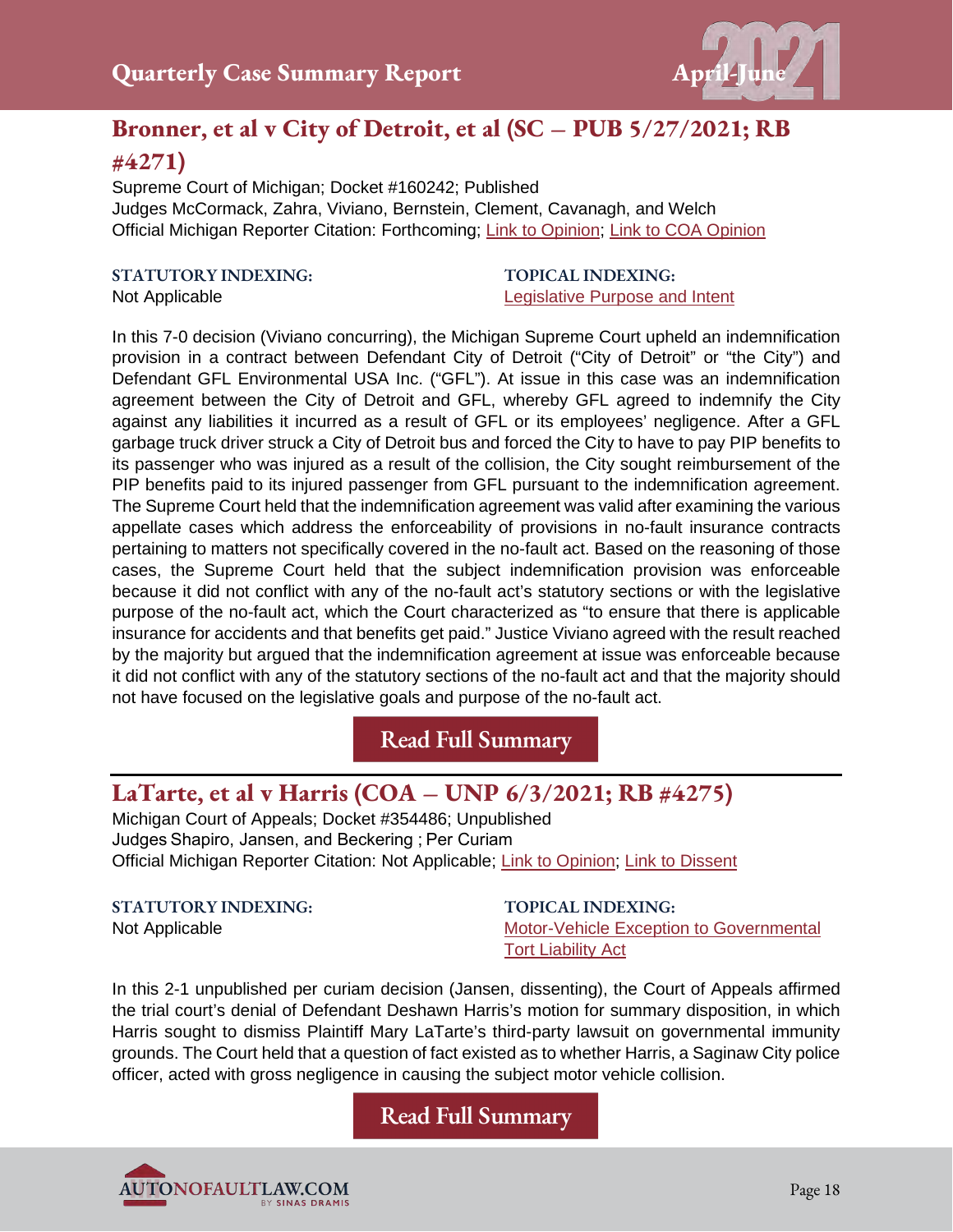

## **Bronner, et al v City of Detroit, et al (SC – PUB 5/27/2021; RB**

#### **#4271)**

Supreme Court of Michigan; Docket #160242; Published Judges McCormack, Zahra, Viviano, Bernstein, Clement, Cavanagh, and Welch Official Michigan Reporter Citation: Forthcoming; [Link to Opinion;](https://autonofaultlaw.com/digital-library/images/pdf/Opinions-2021/5259_Bronner_et_al_v_City_of_Detroit_et_al.pdf) [Link to COA](https://autonofaultlaw.com/digital-library/images/pdf/Opinions-2021/5048-bronner-v-city-of-detroit.PDF) Opinion

#### **STATUTORY INDEXING:**

Not Applicable

#### **TOPICAL INDEXING:** [Legislative Purpose and Intent](https://www.autonofaultlaw.com/digital-library/index.php?option=com_content&view=article&id=876)

In this 7-0 decision (Viviano concurring), the Michigan Supreme Court upheld an indemnification provision in a contract between Defendant City of Detroit ("City of Detroit" or "the City") and Defendant GFL Environmental USA Inc. ("GFL"). At issue in this case was an indemnification agreement between the City of Detroit and GFL, whereby GFL agreed to indemnify the City against any liabilities it incurred as a result of GFL or its employees' negligence. After a GFL garbage truck driver struck a City of Detroit bus and forced the City to have to pay PIP benefits to its passenger who was injured as a result of the collision, the City sought reimbursement of the PIP benefits paid to its injured passenger from GFL pursuant to the indemnification agreement. The Supreme Court held that the indemnification agreement was valid after examining the various appellate cases which address the enforceability of provisions in no-fault insurance contracts pertaining to matters not specifically covered in the no-fault act. Based on the reasoning of those cases, the Supreme Court held that the subject indemnification provision was enforceable because it did not conflict with any of the no-fault act's statutory sections or with the legislative purpose of the no-fault act, which the Court characterized as "to ensure that there is applicable insurance for accidents and that benefits get paid." Justice Viviano agreed with the result reached by the majority but argued that the indemnification agreement at issue was enforceable because it did not conflict with any of the statutory sections of the no-fault act and that the majority should not have focused on the legislative goals and purpose of the no-fault act.

**[Read Full Summary](https://www.autonofaultlaw.com/digital-library/index.php/case-summaries/5259-bronner-et-al-v-city-of-detroit-et-al-sc-pub-5-27-2021-rb-4271)**

## **LaTarte, et al v Harris (COA – UNP 6/3/2021; RB #4275)**

Michigan Court of Appeals; Docket #354486; Unpublished Judges Shapiro, Jansen, and Beckering ; Per Curiam Official Michigan Reporter Citation: Not Applicable; [Link to Opinion;](https://autonofaultlaw.com/digital-library/images/pdf/Opinions-2021/5242_LaTarte_v_Harris.PDF) [Link to Dissent](https://autonofaultlaw.com/digital-library/images/pdf/Opinions-2021/5242_LaTarte_v_Harris_dissent.PDF)

**STATUTORY INDEXING:** Not Applicable

**TOPICAL INDEXING:** [Motor-Vehicle Exception to Governmental](https://autonofaultlaw.com/digital-library/index.php?option=com_content&view=article&id=4860)  **[Tort Liability Act](https://autonofaultlaw.com/digital-library/index.php?option=com_content&view=article&id=4860)** 

In this 2-1 unpublished per curiam decision (Jansen, dissenting), the Court of Appeals affirmed the trial court's denial of Defendant Deshawn Harris's motion for summary disposition, in which Harris sought to dismiss Plaintiff Mary LaTarte's third-party lawsuit on governmental immunity grounds. The Court held that a question of fact existed as to whether Harris, a Saginaw City police officer, acted with gross negligence in causing the subject motor vehicle collision.

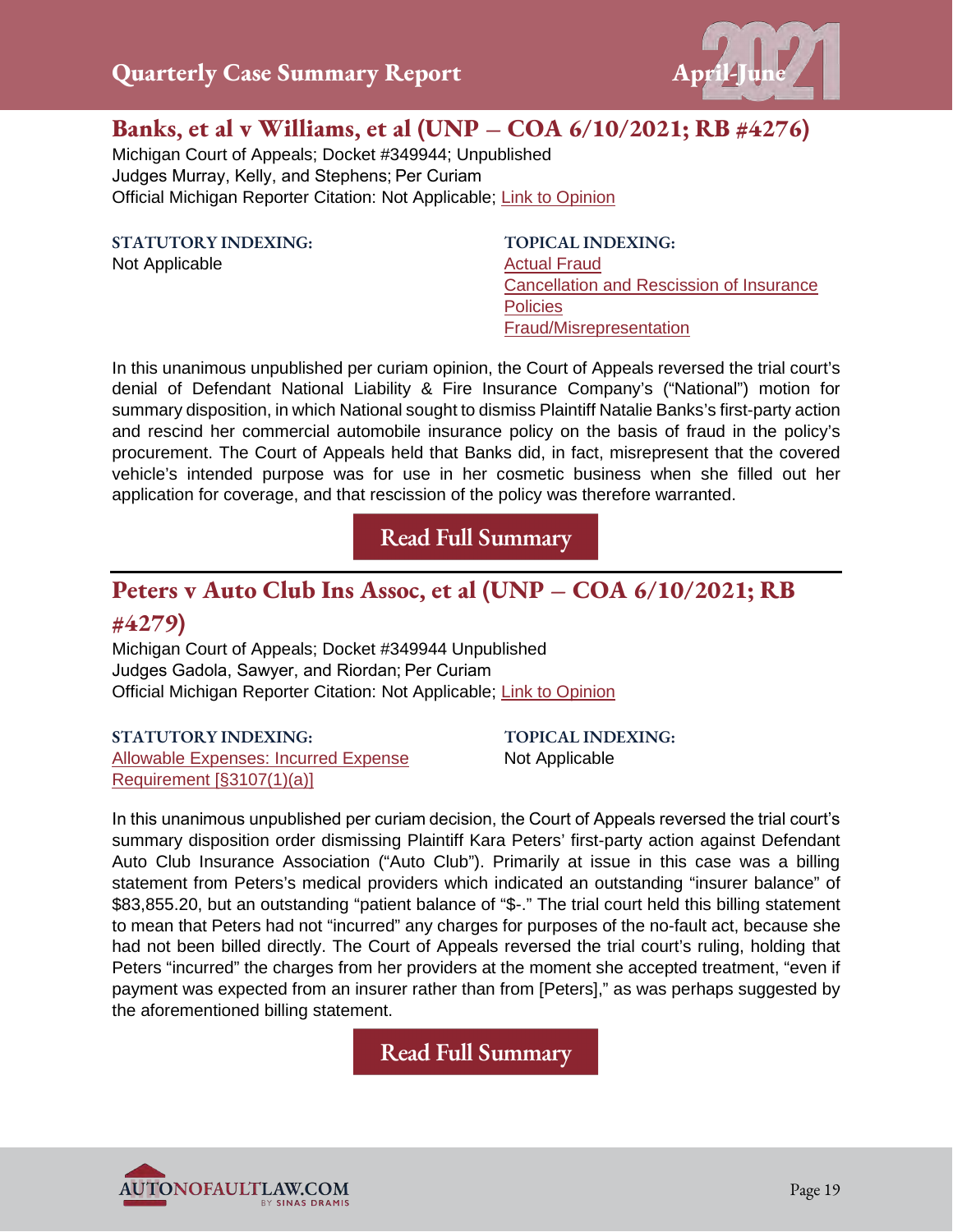

#### **Banks, et al v Williams, et al (UNP – COA 6/10/2021; RB #4276)**

Michigan Court of Appeals; Docket #349944; Unpublished Judges Murray, Kelly, and Stephens; Per Curiam Official Michigan Reporter Citation: Not Applicable; [Link to Opinion](https://autonofaultlaw.com/digital-library/images/pdf/Opinions-2021/5243_Banks_et_al_v_Williams_et_al.PDF)

**STATUTORY INDEXING:**

Not Applicable

**TOPICAL INDEXING:** [Actual Fraud](https://www.autonofaultlaw.com/digital-library/index.php?option=com_content&view=article&id=1288) [Cancellation and Rescission of Insurance](https://www.autonofaultlaw.com/digital-library/index.php?option=com_content&view=article&id=855)  **[Policies](https://www.autonofaultlaw.com/digital-library/index.php?option=com_content&view=article&id=855)** [Fraud/Misrepresentation](https://www.autonofaultlaw.com/digital-library/index.php?option=com_content&view=article&id=1869)

In this unanimous unpublished per curiam opinion, the Court of Appeals reversed the trial court's denial of Defendant National Liability & Fire Insurance Company's ("National") motion for summary disposition, in which National sought to dismiss Plaintiff Natalie Banks's first-party action and rescind her commercial automobile insurance policy on the basis of fraud in the policy's procurement. The Court of Appeals held that Banks did, in fact, misrepresent that the covered vehicle's intended purpose was for use in her cosmetic business when she filled out her application for coverage, and that rescission of the policy was therefore warranted.

**[Read Full Summary](https://www.autonofaultlaw.com/digital-library/index.php/case-summaries/5243-banks-et-al-v-williams-et-al-unp-coa-6-10-2021-rb-4276)**

## **Peters v Auto Club Ins Assoc, et al (UNP – COA 6/10/2021; RB**

#### **#4279)**

Michigan Court of Appeals; Docket #349944 Unpublished Judges Gadola, Sawyer, and Riordan; Per Curiam Official Michigan Reporter Citation: Not Applicable; [Link to Opinion](https://autonofaultlaw.com/digital-library/images/pdf/Opinions-2021/5240-Peters_v_Auto_Club_Ins_Assoc_et_al.PDF)

#### **STATUTORY INDEXING:**

[Allowable Expenses: Incurred Expense](https://www.autonofaultlaw.com/digital-library/index.php?option=com_content&view=article&id=130)  [Requirement \[§3107\(1\)\(a\)\]](https://www.autonofaultlaw.com/digital-library/index.php?option=com_content&view=article&id=130)

**TOPICAL INDEXING:** Not Applicable

In this unanimous unpublished per curiam decision, the Court of Appeals reversed the trial court's summary disposition order dismissing Plaintiff Kara Peters' first-party action against Defendant Auto Club Insurance Association ("Auto Club"). Primarily at issue in this case was a billing statement from Peters's medical providers which indicated an outstanding "insurer balance" of \$83,855.20, but an outstanding "patient balance of "\$-." The trial court held this billing statement to mean that Peters had not "incurred" any charges for purposes of the no-fault act, because she had not been billed directly. The Court of Appeals reversed the trial court's ruling, holding that Peters "incurred" the charges from her providers at the moment she accepted treatment, "even if payment was expected from an insurer rather than from [Peters]," as was perhaps suggested by the aforementioned billing statement.

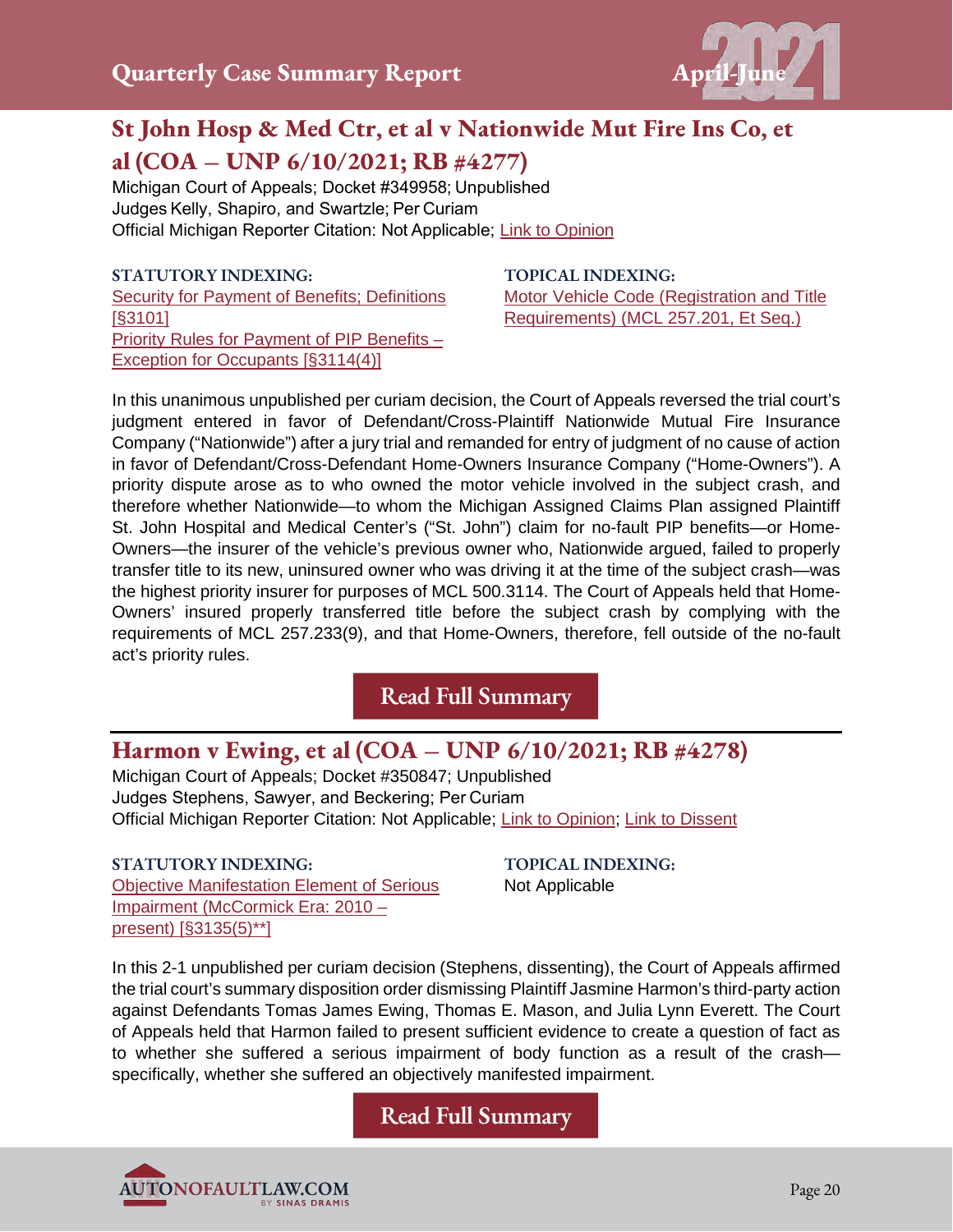

## **St John Hosp & Med Ctr, et al v Nationwide Mut Fire Ins Co, et al (COA – UNP 6/10/2021; RB #4277)**

Michigan Court of Appeals; Docket #349958; Unpublished  Judges Kelly, Shapiro, and Swartzle; Per Curiam  Official Michigan Reporter Citation: Not Applicable; [Link to Opinion](https://autonofaultlaw.com/digital-library/images/pdf/Opinions-2021/5244_St._John_Hosp__Med_Ctr_et_al_v_Nationwide_Mut_Fire_Ins_Co_et_al.PDF)

#### **STATUTORY INDEXING:**

[Security for Payment of Benefits; Definitions](https://autonofaultlaw.com/digital-library/index.php?option=com_content&view=article&id=70)  [\[§3101\]](https://autonofaultlaw.com/digital-library/index.php?option=com_content&view=article&id=70) [Priority Rules for Payment of PIP Benefits –](https://autonofaultlaw.com/digital-library/index.php?option=com_content&view=article&id=99)  [Exception for Occupants \[§3114\(4\)\]](https://autonofaultlaw.com/digital-library/index.php?option=com_content&view=article&id=99)

**TOPICAL INDEXING:** [Motor Vehicle Code \(Registration and Title](https://autonofaultlaw.com/digital-library/index.php?option=com_content&view=article&id=885)  [Requirements\) \(MCL 257.201, Et Seq.\)](https://autonofaultlaw.com/digital-library/index.php?option=com_content&view=article&id=885)

In this unanimous unpublished per curiam decision, the Court of Appeals reversed the trial court's judgment entered in favor of Defendant/Cross-Plaintiff Nationwide Mutual Fire Insurance Company ("Nationwide") after a jury trial and remanded for entry of judgment of no cause of action in favor of Defendant/Cross-Defendant Home-Owners Insurance Company ("Home-Owners"). A priority dispute arose as to who owned the motor vehicle involved in the subject crash, and therefore whether Nationwide—to whom the Michigan Assigned Claims Plan assigned Plaintiff St. John Hospital and Medical Center's ("St. John") claim for no-fault PIP benefits—or Home-Owners—the insurer of the vehicle's previous owner who, Nationwide argued, failed to properly transfer title to its new, uninsured owner who was driving it at the time of the subject crash—was the highest priority insurer for purposes of MCL 500.3114. The Court of Appeals held that Home-Owners' insured properly transferred title before the subject crash by complying with the requirements of MCL 257.233(9), and that Home-Owners, therefore, fell outside of the no-fault act's priority rules.

**[Read Full Summary](https://autonofaultlaw.com/digital-library/index.php/case-summaries/5244-st-john-hosp-med-ctr-et-al-v-nationwide-mut-fire-ins-co-et-al-michigan-court-of-appeals)**

#### **Harmon v Ewing, et al (COA – UNP 6/10/2021; RB #4278)**

Michigan Court of Appeals; Docket #350847; Unpublished Judges Stephens, Sawyer, and Beckering; Per Curiam Official Michigan Reporter Citation: Not Applicable; [Link to Opinion;](https://autonofaultlaw.com/digital-library/images/pdf/Opinions-2021/5246_Harmon_v_Ewing_et_al.PDF) [Link to Dissent](https://autonofaultlaw.com/digital-library/images/pdf/Opinions-2021/5246_Harmon_v_Ewing_et_al_dissent.PDF)

**STATUTORY INDEXING:** [Objective Manifestation Element of Serious](https://autonofaultlaw.com/digital-library/index.php?option=com_content&view=article&id=928)  [Impairment \(McCormick Era: 2010 –](https://autonofaultlaw.com/digital-library/index.php?option=com_content&view=article&id=928)  [present\) \[§3135\(5\)\\*\\*\]](https://autonofaultlaw.com/digital-library/index.php?option=com_content&view=article&id=928)

**TOPICAL INDEXING:** Not Applicable

In this 2-1 unpublished per curiam decision (Stephens, dissenting), the Court of Appeals affirmed the trial court's summary disposition order dismissing Plaintiff Jasmine Harmon's third-party action against Defendants Tomas James Ewing, Thomas E. Mason, and Julia Lynn Everett. The Court of Appeals held that Harmon failed to present sufficient evidence to create a question of fact as to whether she suffered a serious impairment of body function as a result of the crash specifically, whether she suffered an objectively manifested impairment.

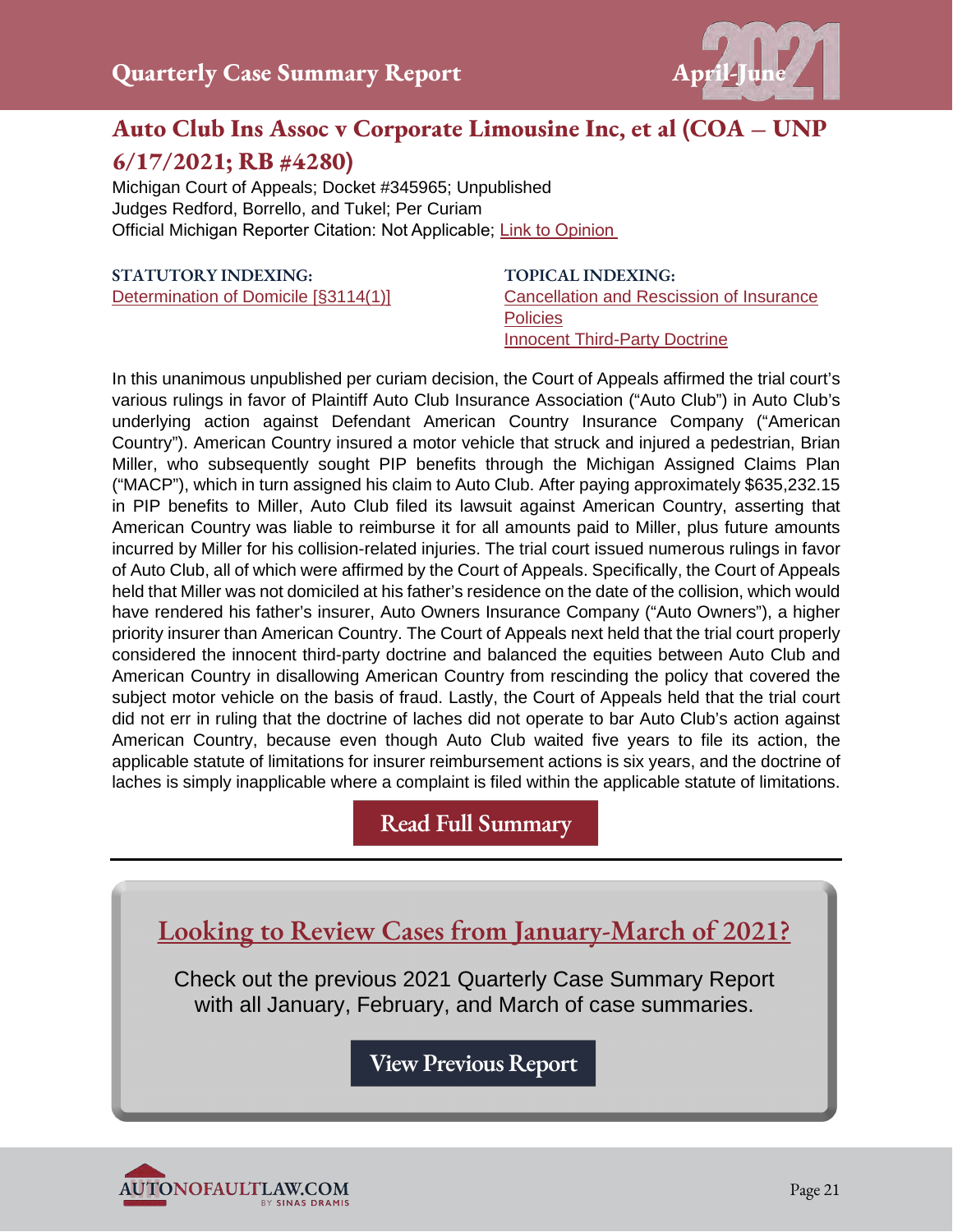

## **Auto Club Ins Assoc v Corporate Limousine Inc, et al (COA – UNP 6/17/2021; RB #4280)**

Michigan Court of Appeals; Docket #345965; Unpublished Judges Redford, Borrello, and Tukel; Per Curiam Official Michigan Reporter Citation: Not Applicable; [Link to Opinion](https://autonofaultlaw.com/digital-library/images/pdf/Opinions-2021/5251_Auto_Club_Ins_Assoc_v_Corporate_Limousine_Inc_et_al.PDF)

#### **STATUTORY INDEXING:**

[Determination of Domicile \[§3114\(1\)\]](https://autonofaultlaw.com/digital-library/index.php?option=com_content&view=article&id=94)

**TOPICAL INDEXING:** [Cancellation and Rescission of Insurance](https://autonofaultlaw.com/digital-library/index.php?option=com_content&view=article&id=855)  **[Policies](https://autonofaultlaw.com/digital-library/index.php?option=com_content&view=article&id=855)** [Innocent Third-Party Doctrine](https://autonofaultlaw.com/digital-library/index.php?option=com_content&view=article&id=4844)

In this unanimous unpublished per curiam decision, the Court of Appeals affirmed the trial court's various rulings in favor of Plaintiff Auto Club Insurance Association ("Auto Club") in Auto Club's underlying action against Defendant American Country Insurance Company ("American Country"). American Country insured a motor vehicle that struck and injured a pedestrian, Brian Miller, who subsequently sought PIP benefits through the Michigan Assigned Claims Plan ("MACP"), which in turn assigned his claim to Auto Club. After paying approximately \$635,232.15 in PIP benefits to Miller, Auto Club filed its lawsuit against American Country, asserting that American Country was liable to reimburse it for all amounts paid to Miller, plus future amounts incurred by Miller for his collision-related injuries. The trial court issued numerous rulings in favor of Auto Club, all of which were affirmed by the Court of Appeals. Specifically, the Court of Appeals held that Miller was not domiciled at his father's residence on the date of the collision, which would have rendered his father's insurer, Auto Owners Insurance Company ("Auto Owners"), a higher priority insurer than American Country. The Court of Appeals next held that the trial court properly considered the innocent third-party doctrine and balanced the equities between Auto Club and American Country in disallowing American Country from rescinding the policy that covered the subject motor vehicle on the basis of fraud. Lastly, the Court of Appeals held that the trial court did not err in ruling that the doctrine of laches did not operate to bar Auto Club's action against American Country, because even though Auto Club waited five years to file its action, the applicable statute of limitations for insurer reimbursement actions is six years, and the doctrine of laches is simply inapplicable where a complaint is filed within the applicable statute of limitations.

## **[Read Full Summary](https://autonofaultlaw.com/digital-library/index.php/case-summaries/5251-auto-club-ins-assoc-v-corporate-limousine-inc-et-al-michigan-court-of-appeals)**

**Looking to Review Cases from January-March of 2021?** 

Check out the previous 2021 Quarterly Case Summary Report with all January, February, and March of case summaries.

**[View Previous Report](https://autonofaultlaw.com/pdfs/First-Quarter-2021-No-Fault-Case-Summary-Report.pdf)**

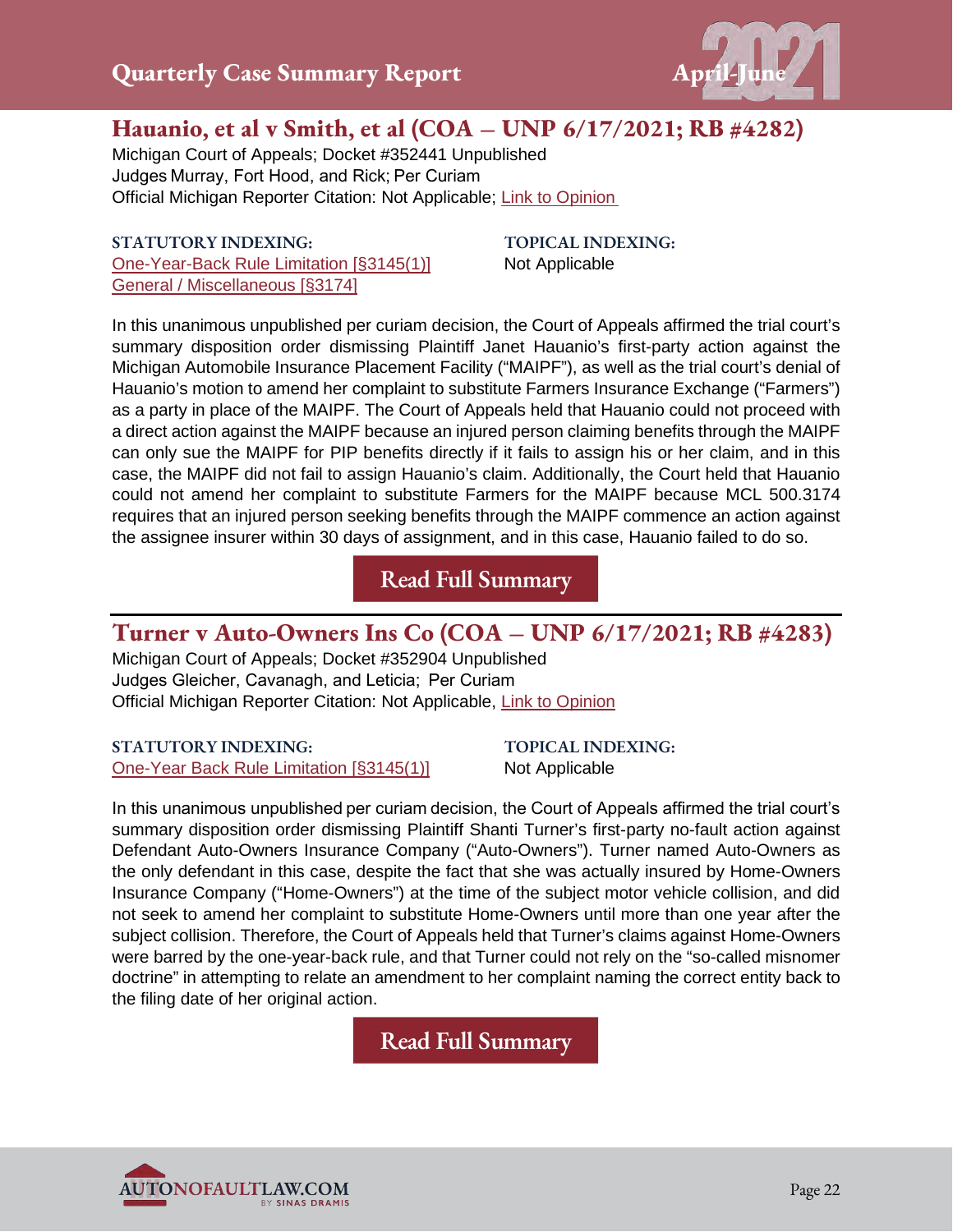

## **Hauanio, et al v Smith, et al (COA – UNP 6/17/2021; RB #4282)**

Michigan Court of Appeals; Docket #352441 Unpublished Judges Murray, Fort Hood, and Rick; Per Curiam  Official Michigan Reporter Citation: Not Applicable; [Link to Opinio](https://autonofaultlaw.com/digital-library/images/pdf/Opinions-2021/5241_Hauania_et_al_v_Smith_et_al.PDF)n 

#### **STATUTORY INDEXING:** [One-Year-Back Rule Limitation \[§3145\(1\)\]](https://autonofaultlaw.com/digital-library/index.php?option=com_content&view=article&id=288) [General / Miscellaneous \[§3174\]](https://www.autonofaultlaw.com/digital-library/index.php?option=com_content&view=article&id=372)

**TOPICAL INDEXING:** Not Applicable

In this unanimous unpublished per curiam decision, the Court of Appeals affirmed the trial court's summary disposition order dismissing Plaintiff Janet Hauanio's first-party action against the Michigan Automobile Insurance Placement Facility ("MAIPF"), as well as the trial court's denial of Hauanio's motion to amend her complaint to substitute Farmers Insurance Exchange ("Farmers") as a party in place of the MAIPF. The Court of Appeals held that Hauanio could not proceed with a direct action against the MAIPF because an injured person claiming benefits through the MAIPF can only sue the MAIPF for PIP benefits directly if it fails to assign his or her claim, and in this case, the MAIPF did not fail to assign Hauanio's claim. Additionally, the Court held that Hauanio could not amend her complaint to substitute Farmers for the MAIPF because MCL 500.3174 requires that an injured person seeking benefits through the MAIPF commence an action against the assignee insurer within 30 days of assignment, and in this case, Hauanio failed to do so.

**[Read Full Summary](https://autonofaultlaw.com/digital-library/index.php/case-summaries/5241-hauanio-et-al-v-smith-et-al-coa-unp-6-17-2021-rb-4282)**

## **Turner v Auto-Owners Ins Co (COA – UNP 6/17/2021; RB #4283)**

Michigan Court of Appeals; Docket #352904 Unpublished Judges Gleicher, Cavanagh, and Leticia;  Per Curiam Official Michigan Reporter Citation: Not Applicable, [Link to Opinion](https://autonofaultlaw.com/digital-library/images/pdf/Opinions-2021/5238-Turner_v_Auto-Owners_Ins_Co.PDF)

#### **STATUTORY INDEXING:** [One-Year Back Rule Limitation \[§3145\(1\)\]](https://www.autonofaultlaw.com/digital-library/index.php?option=com_content&view=article&id=288)

**TOPICAL INDEXING:** Not Applicable

In this unanimous unpublished per curiam decision, the Court of Appeals affirmed the trial court's summary disposition order dismissing Plaintiff Shanti Turner's first-party no-fault action against Defendant Auto-Owners Insurance Company ("Auto-Owners"). Turner named Auto-Owners as the only defendant in this case, despite the fact that she was actually insured by Home-Owners Insurance Company ("Home-Owners") at the time of the subject motor vehicle collision, and did not seek to amend her complaint to substitute Home-Owners until more than one year after the subject collision. Therefore, the Court of Appeals held that Turner's claims against Home-Owners were barred by the one-year-back rule, and that Turner could not rely on the "so-called misnomer doctrine" in attempting to relate an amendment to her complaint naming the correct entity back to the filing date of her original action.

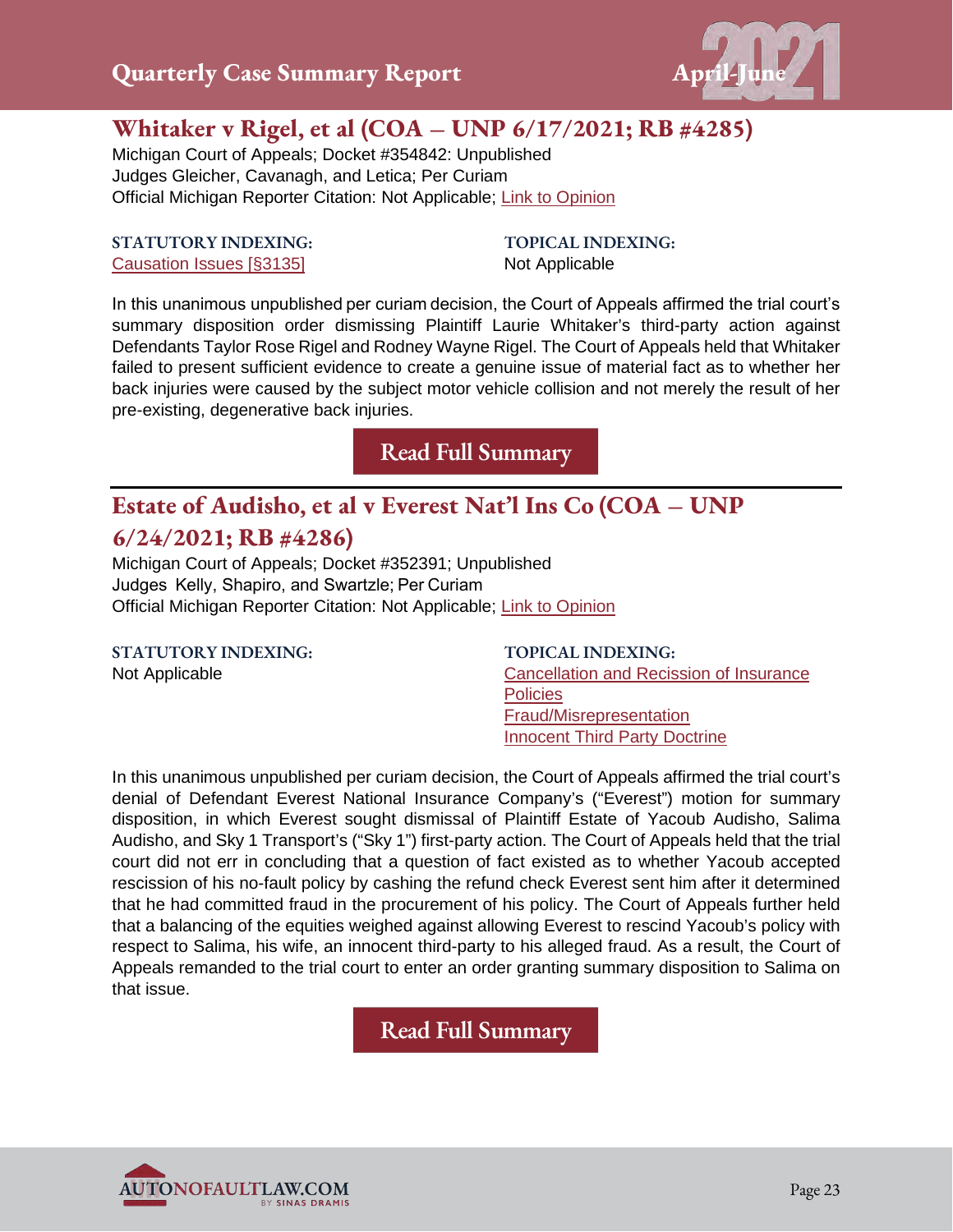

## **Whitaker v Rigel, et al (COA – UNP 6/17/2021; RB #4285)**

Michigan Court of Appeals; Docket #354842: Unpublished Judges Gleicher, Cavanagh, and Letica; Per Curiam Official Michigan Reporter Citation: Not Applicable; [Link to Opinion](https://autonofaultlaw.com/digital-library/images/pdf/Opinions-2021/5245_Whitaker_v_Rigel_et_al.PDF)

#### **STATUTORY INDEXING:** [Causation Issues \[§3135\]](https://www.autonofaultlaw.com/digital-library/index.php?option=com_content&view=article&id=158)

**TOPICAL INDEXING:** Not Applicable

In this unanimous unpublished per curiam decision, the Court of Appeals affirmed the trial court's summary disposition order dismissing Plaintiff Laurie Whitaker's third-party action against Defendants Taylor Rose Rigel and Rodney Wayne Rigel. The Court of Appeals held that Whitaker failed to present sufficient evidence to create a genuine issue of material fact as to whether her back injuries were caused by the subject motor vehicle collision and not merely the result of her pre-existing, degenerative back injuries.

**[Read Full Summary](https://www.autonofaultlaw.com/digital-library/index.php/case-summaries/5245-5345-whitaker-v-rigel-et-al-6-17-2021-rb-4285-michigan-court-of-appeals)**

## **Estate of Audisho, et al v Everest Nat'l Ins Co (COA – UNP**

#### **6/24/2021; RB #4286)**

Michigan Court of Appeals; Docket #352391; Unpublished Judges  Kelly, Shapiro, and Swartzle; Per Curiam Official Michigan Reporter Citation: Not Applicable; [Link to Opinion](https://autonofaultlaw.com/digital-library/images/pdf/Opinions-2021/5247_Estate_of_Audisho_et_al_v_Everest_Natl_Ins_Co.PDF)

**STATUTORY INDEXING:** Not Applicable

**TOPICAL INDEXING:** [Cancellation and Recission](https://autonofaultlaw.com/digital-library/index.php?option=com_content&view=article&id=855) of Insurance **[Policies](https://autonofaultlaw.com/digital-library/index.php?option=com_content&view=article&id=855)** [Fraud/Misrepresentation](https://autonofaultlaw.com/digital-library/index.php?option=com_content&view=article&id=1869) [Innocent Third Party Doctrine](https://www.autonofaultlaw.com/digital-library/index.php?option=com_content&view=article&id=4844)

In this unanimous unpublished per curiam decision, the Court of Appeals affirmed the trial court's denial of Defendant Everest National Insurance Company's ("Everest") motion for summary disposition, in which Everest sought dismissal of Plaintiff Estate of Yacoub Audisho, Salima Audisho, and Sky 1 Transport's ("Sky 1") first-party action. The Court of Appeals held that the trial court did not err in concluding that a question of fact existed as to whether Yacoub accepted rescission of his no-fault policy by cashing the refund check Everest sent him after it determined that he had committed fraud in the procurement of his policy. The Court of Appeals further held that a balancing of the equities weighed against allowing Everest to rescind Yacoub's policy with respect to Salima, his wife, an innocent third-party to his alleged fraud. As a result, the Court of Appeals remanded to the trial court to enter an order granting summary disposition to Salima on that issue.

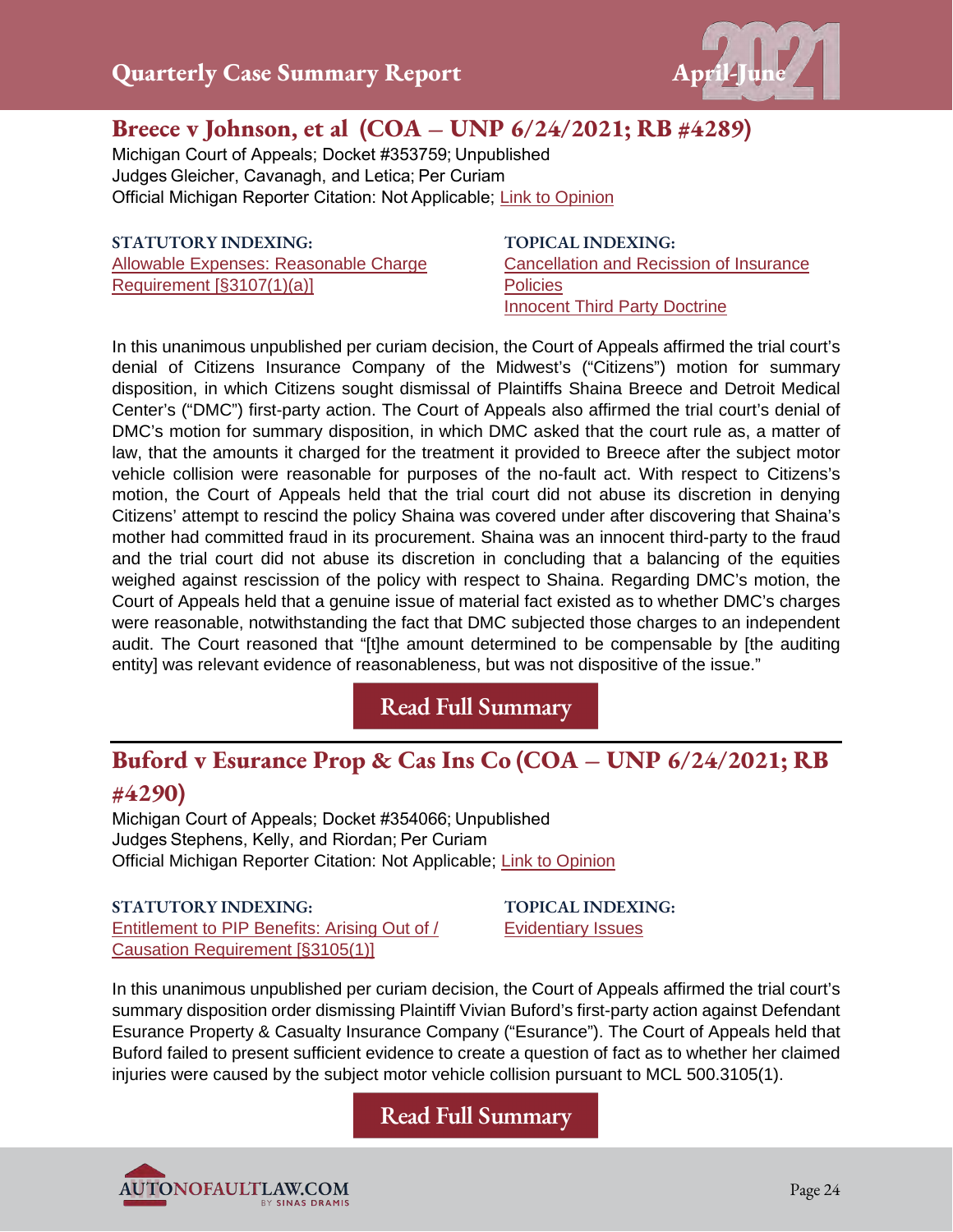

## **Breece v Johnson, et al (COA – UNP 6/24/2021; RB #4289)**

Michigan Court of Appeals; Docket #353759; Unpublished Judges Gleicher, Cavanagh, and Letica; Per Curiam Official Michigan Reporter Citation: Not Applicable; [Link to Opinion](https://autonofaultlaw.com/digital-library/images/pdf/Opinions-2021/5248_Breece_v_Johnson_et_al.PDF)

**STATUTORY INDEXING:** [Allowable Expenses: Reasonable Charge](https://autonofaultlaw.com/digital-library/index.php?option=com_content&view=article&id=129)  [Requirement \[§3107\(1\)\(a\)\]](https://autonofaultlaw.com/digital-library/index.php?option=com_content&view=article&id=129)

**TOPICAL INDEXING:** [Cancellation and Recission of Insurance](https://autonofaultlaw.com/digital-library/index.php?option=com_content&view=article&id=855)  **[Policies](https://autonofaultlaw.com/digital-library/index.php?option=com_content&view=article&id=855)** [Innocent Third Party Doctrine](https://autonofaultlaw.com/digital-library/index.php?option=com_content&view=article&id=4844)

In this unanimous unpublished per curiam decision, the Court of Appeals affirmed the trial court's denial of Citizens Insurance Company of the Midwest's ("Citizens") motion for summary disposition, in which Citizens sought dismissal of Plaintiffs Shaina Breece and Detroit Medical Center's ("DMC") first-party action. The Court of Appeals also affirmed the trial court's denial of DMC's motion for summary disposition, in which DMC asked that the court rule as, a matter of law, that the amounts it charged for the treatment it provided to Breece after the subject motor vehicle collision were reasonable for purposes of the no-fault act. With respect to Citizens's motion, the Court of Appeals held that the trial court did not abuse its discretion in denying Citizens' attempt to rescind the policy Shaina was covered under after discovering that Shaina's mother had committed fraud in its procurement. Shaina was an innocent third-party to the fraud and the trial court did not abuse its discretion in concluding that a balancing of the equities weighed against rescission of the policy with respect to Shaina. Regarding DMC's motion, the Court of Appeals held that a genuine issue of material fact existed as to whether DMC's charges were reasonable, notwithstanding the fact that DMC subjected those charges to an independent audit. The Court reasoned that "[t]he amount determined to be compensable by [the auditing entity] was relevant evidence of reasonableness, but was not dispositive of the issue."

**[Read Full Summary](https://www.autonofaultlaw.com/digital-library/index.php/case-summaries/5248-breece-v-johnson-et-al-michigan-court-of-appeals)**

## **Buford v Esurance Prop & Cas Ins Co (COA – UNP 6/24/2021; RB #4290)**

Michigan Court of Appeals; Docket #354066; Unpublished Judges Stephens, Kelly, and Riordan; Per Curiam Official Michigan Reporter Citation: Not Applicable; [Link to Opinion](https://autonofaultlaw.com/digital-library/images/pdf/Opinions-2021/5249_Buford_v_Esurance_Prop__Cas_Ins_Co.PDF)

**STATUTORY INDEXING:** [Entitlement to PIP Benefits: Arising Out of /](https://autonofaultlaw.com/digital-library/index.php?option=com_content&view=article&id=176)  [Causation Requirement \[§3105\(1\)\]](https://autonofaultlaw.com/digital-library/index.php?option=com_content&view=article&id=176)

**TOPICAL INDEXING:** [Evidentiary Issues](https://autonofaultlaw.com/digital-library/index.php?option=com_content&view=article&id=1630)

In this unanimous unpublished per curiam decision, the Court of Appeals affirmed the trial court's summary disposition order dismissing Plaintiff Vivian Buford's first-party action against Defendant Esurance Property & Casualty Insurance Company ("Esurance"). The Court of Appeals held that Buford failed to present sufficient evidence to create a question of fact as to whether her claimed injuries were caused by the subject motor vehicle collision pursuant to MCL 500.3105(1).